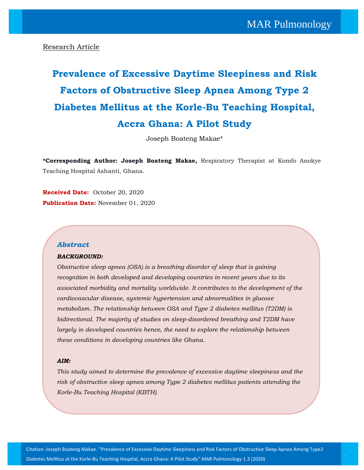## Research Article

# **Prevalence of Excessive Daytime Sleepiness and Risk Factors of Obstructive Sleep Apnea Among Type 2 Diabetes Mellitus at the Korle-Bu Teaching Hospital, Accra Ghana: A Pilot Study**

Joseph Boateng Makae\*

**\*Corresponding Author: Joseph Boateng Makae,** Respiratory Therapist at Komfo Anokye Teaching Hospital Ashanti, Ghana.

**Received Date:** October 20, 2020 **Publication Date:** November 01, 2020

## *Abstract*

#### *BACKGROUND:*

*Obstructive sleep apnea (OSA) is a breathing disorder of sleep that is gaining recognition in both developed and developing countries in recent years due to its associated morbidity and mortality worldwide. It contributes to the development of the cardiovascular disease, systemic hypertension and abnormalities in glucose metabolism. The relationship between OSA and Type 2 diabetes mellitus (T2DM) is bidirectional. The majority of studies on sleep-disordered breathing and T2DM have largely in developed countries hence, the need to explore the relationship between these conditions in developing countries like Ghana.*

#### *AIM:*

*This study aimed to determine the prevalence of excessive daytime sleepiness and the risk of obstructive sleep apnea among Type 2 diabetes mellitus patients attending the Korle-Bu Teaching Hospital (KBTH).*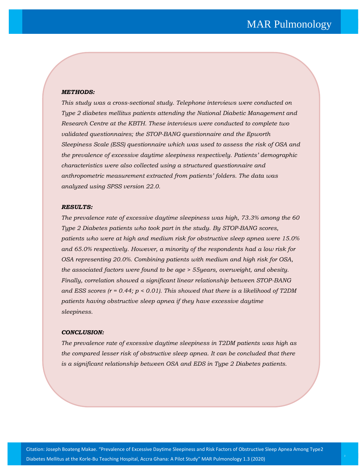#### *METHODS:*

*This study was a cross-sectional study. Telephone interviews were conducted on Type 2 diabetes mellitus patients attending the National Diabetic Management and Research Centre at the KBTH. These interviews were conducted to complete two validated questionnaires; the STOP-BANG questionnaire and the Epworth Sleepiness Scale (ESS) questionnaire which was used to assess the risk of OSA and the prevalence of excessive daytime sleepiness respectively. Patients' demographic characteristics were also collected using a structured questionnaire and anthropometric measurement extracted from patients' folders. The data was analyzed using SPSS version 22.0.*

#### *RESULTS:*

*The prevalence rate of excessive daytime sleepiness was high, 73.3% among the 60 Type 2 Diabetes patients who took part in the study. By STOP-BANG scores, patients who were at high and medium risk for obstructive sleep apnea were 15.0% and 65.0% respectively. However, a minority of the respondents had a low risk for OSA representing 20.0%. Combining patients with medium and high risk for OSA, the associated factors were found to be age > 55years, overweight, and obesity. Finally, correlation showed a significant linear relationship between STOP-BANG and ESS scores (r = 0.44; p < 0.01). This showed that there is a likelihood of T2DM patients having obstructive sleep apnea if they have excessive daytime sleepiness.*

#### *CONCLUSION:*

*The prevalence rate of excessive daytime sleepiness in T2DM patients was high as the compared lesser risk of obstructive sleep apnea. It can be concluded that there is a significant relationship between OSA and EDS in Type 2 Diabetes patients.*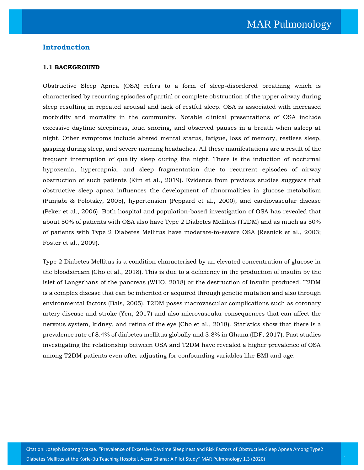## **Introduction**

#### **1.1 BACKGROUND**

Obstructive Sleep Apnea (OSA) refers to a form of sleep-disordered breathing which is characterized by recurring episodes of partial or complete obstruction of the upper airway during sleep resulting in repeated arousal and lack of restful sleep. OSA is associated with increased morbidity and mortality in the community. Notable clinical presentations of OSA include excessive daytime sleepiness, loud snoring, and observed pauses in a breath when asleep at night. Other symptoms include altered mental status, fatigue, loss of memory, restless sleep, gasping during sleep, and severe morning headaches. All these manifestations are a result of the frequent interruption of quality sleep during the night. There is the induction of nocturnal hypoxemia, hypercapnia, and sleep fragmentation due to recurrent episodes of airway obstruction of such patients (Kim et al., 2019). Evidence from previous studies suggests that obstructive sleep apnea influences the development of abnormalities in glucose metabolism (Punjabi & Polotsky, 2005), hypertension (Peppard et al., 2000), and cardiovascular disease (Peker et al., 2006). Both hospital and population-based investigation of OSA has revealed that about 50% of patients with OSA also have Type 2 Diabetes Mellitus (T2DM) and as much as 50% of patients with Type 2 Diabetes Mellitus have moderate-to-severe OSA (Resnick et al., 2003; Foster et al., 2009).

Type 2 Diabetes Mellitus is a condition characterized by an elevated concentration of glucose in the bloodstream (Cho et al., 2018). This is due to a deficiency in the production of insulin by the islet of Langerhans of the pancreas (WHO, 2018) or the destruction of insulin produced. T2DM is a complex disease that can be inherited or acquired through genetic mutation and also through environmental factors (Bais, 2005). T2DM poses macrovascular complications such as coronary artery disease and stroke (Yen, 2017) and also microvascular consequences that can affect the nervous system, kidney, and retina of the eye (Cho et al., 2018). Statistics show that there is a prevalence rate of 8.4% of diabetes mellitus globally and 3.8% in Ghana (IDF, 2017). Past studies investigating the relationship between OSA and T2DM have revealed a higher prevalence of OSA among T2DM patients even after adjusting for confounding variables like BMI and age.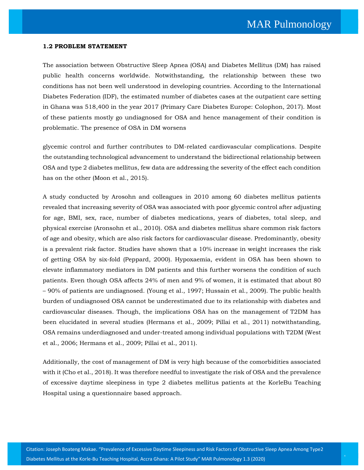#### **1.2 PROBLEM STATEMENT**

The association between Obstructive Sleep Apnea (OSA) and Diabetes Mellitus (DM) has raised public health concerns worldwide. Notwithstanding, the relationship between these two conditions has not been well understood in developing countries. According to the International Diabetes Federation (IDF), the estimated number of diabetes cases at the outpatient care setting in Ghana was 518,400 in the year 2017 (Primary Care Diabetes Europe: Colophon, 2017). Most of these patients mostly go undiagnosed for OSA and hence management of their condition is problematic. The presence of OSA in DM worsens

glycemic control and further contributes to DM-related cardiovascular complications. Despite the outstanding technological advancement to understand the bidirectional relationship between OSA and type 2 diabetes mellitus, few data are addressing the severity of the effect each condition has on the other (Moon et al., 2015).

A study conducted by Arosohn and colleagues in 2010 among 60 diabetes mellitus patients revealed that increasing severity of OSA was associated with poor glycemic control after adjusting for age, BMI, sex, race, number of diabetes medications, years of diabetes, total sleep, and physical exercise (Aronsohn et al., 2010). OSA and diabetes mellitus share common risk factors of age and obesity, which are also risk factors for cardiovascular disease. Predominantly, obesity is a prevalent risk factor. Studies have shown that a 10% increase in weight increases the risk of getting OSA by six-fold (Peppard, 2000). Hypoxaemia, evident in OSA has been shown to elevate inflammatory mediators in DM patients and this further worsens the condition of such patients. Even though OSA affects 24% of men and 9% of women, it is estimated that about 80 – 90% of patients are undiagnosed. (Young et al., 1997; Hussain et al., 2009). The public health burden of undiagnosed OSA cannot be underestimated due to its relationship with diabetes and cardiovascular diseases. Though, the implications OSA has on the management of T2DM has been elucidated in several studies (Hermans et al., 2009; Pillai et al., 2011) notwithstanding, OSA remains underdiagnosed and under-treated among individual populations with T2DM (West et al., 2006; Hermans et al., 2009; Pillai et al., 2011).

Additionally, the cost of management of DM is very high because of the comorbidities associated with it (Cho et al., 2018). It was therefore needful to investigate the risk of OSA and the prevalence of excessive daytime sleepiness in type 2 diabetes mellitus patients at the KorleBu Teaching Hospital using a questionnaire based approach.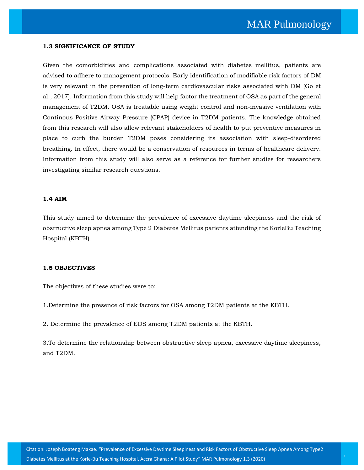#### **1.3 SIGNIFICANCE OF STUDY**

Given the comorbidities and complications associated with diabetes mellitus, patients are advised to adhere to management protocols. Early identification of modifiable risk factors of DM is very relevant in the prevention of long-term cardiovascular risks associated with DM (Go et al., 2017). Information from this study will help factor the treatment of OSA as part of the general management of T2DM. OSA is treatable using weight control and non-invasive ventilation with Continous Positive Airway Pressure (CPAP) device in T2DM patients. The knowledge obtained from this research will also allow relevant stakeholders of health to put preventive measures in place to curb the burden T2DM poses considering its association with sleep-disordered breathing. In effect, there would be a conservation of resources in terms of healthcare delivery. Information from this study will also serve as a reference for further studies for researchers investigating similar research questions.

#### **1.4 AIM**

This study aimed to determine the prevalence of excessive daytime sleepiness and the risk of obstructive sleep apnea among Type 2 Diabetes Mellitus patients attending the KorleBu Teaching Hospital (KBTH).

#### **1.5 OBJECTIVES**

The objectives of these studies were to:

1.Determine the presence of risk factors for OSA among T2DM patients at the KBTH.

2. Determine the prevalence of EDS among T2DM patients at the KBTH.

3.To determine the relationship between obstructive sleep apnea, excessive daytime sleepiness, and T2DM.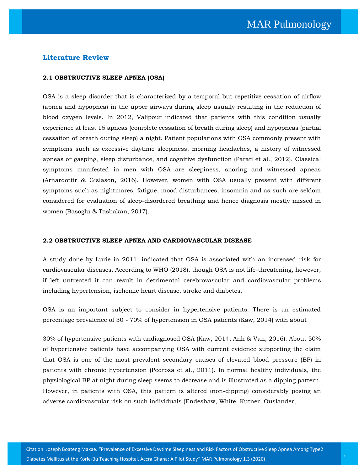## **Literature Review**

#### **2.1 OBSTRUCTIVE SLEEP APNEA (OSA)**

OSA is a sleep disorder that is characterized by a temporal but repetitive cessation of airflow (apnea and hypopnea) in the upper airways during sleep usually resulting in the reduction of blood oxygen levels. In 2012, Valipour indicated that patients with this condition usually experience at least 15 apneas (complete cessation of breath during sleep) and hypopneas (partial cessation of breath during sleep) a night. Patient populations with OSA commonly present with symptoms such as excessive daytime sleepiness, morning headaches, a history of witnessed apneas or gasping, sleep disturbance, and cognitive dysfunction (Parati et al., 2012). Classical symptoms manifested in men with OSA are sleepiness, snoring and witnessed apneas (Arnardottir & Gislason, 2016). However, women with OSA usually present with different symptoms such as nightmares, fatigue, mood disturbances, insomnia and as such are seldom considered for evaluation of sleep-disordered breathing and hence diagnosis mostly missed in women (Basoglu & Tasbakan, 2017).

#### **2.2 OBSTRUCTIVE SLEEP APNEA AND CARDIOVASCULAR DISEASE**

A study done by Lurie in 2011, indicated that OSA is associated with an increased risk for cardiovascular diseases. According to WHO (2018), though OSA is not life-threatening, however, if left untreated it can result in detrimental cerebrovascular and cardiovascular problems including hypertension, ischemic heart disease, stroke and diabetes.

OSA is an important subject to consider in hypertensive patients. There is an estimated percentage prevalence of 30 - 70% of hypertension in OSA patients (Kaw, 2014) with about

30% of hypertensive patients with undiagnosed OSA (Kaw, 2014; Anh & Van, 2016). About 50% of hypertensive patients have accompanying OSA with current evidence supporting the claim that OSA is one of the most prevalent secondary causes of elevated blood pressure (BP) in patients with chronic hypertension (Pedrosa et al., 2011). In normal healthy individuals, the physiological BP at night during sleep seems to decrease and is illustrated as a dipping pattern. However, in patients with OSA, this pattern is altered (non-dipping) considerably posing an adverse cardiovascular risk on such individuals (Endeshaw, White, Kutner, Ouslander,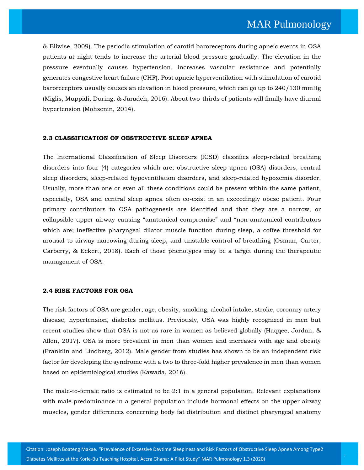& Bliwise, 2009). The periodic stimulation of carotid baroreceptors during apneic events in OSA patients at night tends to increase the arterial blood pressure gradually. The elevation in the pressure eventually causes hypertension, increases vascular resistance and potentially generates congestive heart failure (CHF). Post apneic hyperventilation with stimulation of carotid baroreceptors usually causes an elevation in blood pressure, which can go up to 240/130 mmHg (Miglis, Muppidi, During, & Jaradeh, 2016). About two-thirds of patients will finally have diurnal hypertension (Mohsenin, 2014).

#### **2.3 CLASSIFICATION OF OBSTRUCTIVE SLEEP APNEA**

The International Classification of Sleep Disorders (ICSD) classifies sleep-related breathing disorders into four (4) categories which are; obstructive sleep apnea (OSA) disorders, central sleep disorders, sleep-related hypoventilation disorders, and sleep-related hypoxemia disorder. Usually, more than one or even all these conditions could be present within the same patient, especially, OSA and central sleep apnea often co-exist in an exceedingly obese patient. Four primary contributors to OSA pathogenesis are identified and that they are a narrow, or collapsible upper airway causing "anatomical compromise" and "non-anatomical contributors which are; ineffective pharyngeal dilator muscle function during sleep, a coffee threshold for arousal to airway narrowing during sleep, and unstable control of breathing (Osman, Carter, Carberry, & Eckert, 2018). Each of those phenotypes may be a target during the therapeutic management of OSA.

#### **2.4 RISK FACTORS FOR OSA**

The risk factors of OSA are gender, age, obesity, smoking, alcohol intake, stroke, coronary artery disease, hypertension, diabetes mellitus. Previously, OSA was highly recognized in men but recent studies show that OSA is not as rare in women as believed globally (Haqqee, Jordan, & Allen, 2017). OSA is more prevalent in men than women and increases with age and obesity (Franklin and Lindberg, 2012). Male gender from studies has shown to be an independent risk factor for developing the syndrome with a two to three-fold higher prevalence in men than women based on epidemiological studies (Kawada, 2016).

The male-to-female ratio is estimated to be 2:1 in a general population. Relevant explanations with male predominance in a general population include hormonal effects on the upper airway muscles, gender differences concerning body fat distribution and distinct pharyngeal anatomy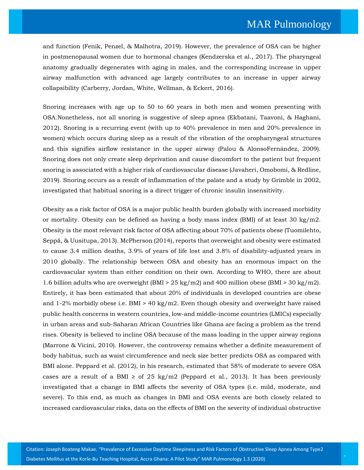and function (Fenik, Penzel, & Malhotra, 2019). However, the prevalence of OSA can be higher in postmenopausal women due to hormonal changes (Kendzerska et al., 2017). The pharyngeal anatomy gradually degenerates with aging in males, and the corresponding increase in upper airway malfunction with advanced age largely contributes to an increase in upper airway collapsibility (Carberry, Jordan, White, Wellman, & Eckert, 2016).

Snoring increases with age up to 50 to 60 years in both men and women presenting with OSA.Nonetheless, not all snoring is suggestive of sleep apnea (Ekbatani, Taavoni, & Haghani, 2012). Snoring is a recurring event (with up to 40% prevalence in men and 20% prevalence in women) which occurs during sleep as a result of the vibration of the oropharyngeal structures and this signifies airflow resistance in the upper airway (Palou & AlonsoFernández, 2009). Snoring does not only create sleep deprivation and cause discomfort to the patient but frequent snoring is associated with a higher risk of cardiovascular disease (Javaheri, Omobomi, & Redline, 2019). Snoring occurs as a result of inflammation of the palate and a study by Grimble in 2002, investigated that habitual snoring is a direct trigger of chronic insulin insensitivity.

Obesity as a risk factor of OSA is a major public health burden globally with increased morbidity or mortality. Obesity can be defined as having a body mass index (BMI) of at least 30 kg/m2. Obesity is the most relevant risk factor of OSA affecting about 70% of patients obese (Tuomilehto, Seppä, & Uusitupa, 2013). McPherson (2014), reports that overweight and obesity were estimated to cause 3.4 million deaths, 3.9% of years of life lost and 3.8% of disability-adjusted years in 2010 globally. The relationship between OSA and obesity has an enormous impact on the cardiovascular system than either condition on their own. According to WHO, there are about 1.6 billion adults who are overweight (BMI > 25 kg/m2) and 400 million obese (BMI > 30 kg/m2). Entirely, it has been estimated that about 20% of individuals in developed countries are obese and  $1-2\%$  morbidly obese i.e. BMI > 40 kg/m2. Even though obesity and overweight have raised public health concerns in western countries, low-and middle-income countries (LMICs) especially in urban areas and sub-Saharan African Countries like Ghana are facing a problem as the trend rises. Obesity is believed to incline OSA because of the mass loading in the upper airway regions (Marrone & Vicini, 2010). However, the controversy remains whether a definite measurement of body habitus, such as waist circumference and neck size better predicts OSA as compared with BMI alone. Peppard et al. (2012), in his research, estimated that 58% of moderate to severe OSA cases are a result of a BMI  $\geq$  of 25 kg/m2 (Peppard et al., 2013). It has been previously investigated that a change in BMI affects the severity of OSA types (i.e. mild, moderate, and severe). To this end, as much as changes in BMI and OSA events are both closely related to increased cardiovascular risks, data on the effects of BMI on the severity of individual obstructive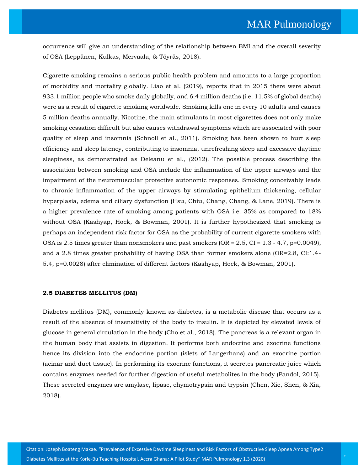occurrence will give an understanding of the relationship between BMI and the overall severity of OSA (Leppänen, Kulkas, Mervaala, & Töyräs, 2018).

Cigarette smoking remains a serious public health problem and amounts to a large proportion of morbidity and mortality globally. Liao et al. (2019), reports that in 2015 there were about 933.1 million people who smoke daily globally, and 6.4 million deaths (i.e. 11.5% of global deaths) were as a result of cigarette smoking worldwide. Smoking kills one in every 10 adults and causes 5 million deaths annually. Nicotine, the main stimulants in most cigarettes does not only make smoking cessation difficult but also causes withdrawal symptoms which are associated with poor quality of sleep and insomnia (Schnoll et al., 2011). Smoking has been shown to hurt sleep efficiency and sleep latency, contributing to insomnia, unrefreshing sleep and excessive daytime sleepiness, as demonstrated as Deleanu et al., (2012). The possible process describing the association between smoking and OSA include the inflammation of the upper airways and the impairment of the neuromuscular protective autonomic responses. Smoking conceivably leads to chronic inflammation of the upper airways by stimulating epithelium thickening, cellular hyperplasia, edema and ciliary dysfunction (Hsu, Chiu, Chang, Chang, & Lane, 2019). There is a higher prevalence rate of smoking among patients with OSA i.e. 35% as compared to 18% without OSA (Kashyap, Hock, & Bowman, 2001). It is further hypothesized that smoking is perhaps an independent risk factor for OSA as the probability of current cigarette smokers with OSA is 2.5 times greater than nonsmokers and past smokers (OR =  $2.5$ , CI =  $1.3 - 4.7$ , p=0.0049), and a 2.8 times greater probability of having OSA than former smokers alone (OR=2.8, CI:1.4- 5.4, p=0.0028) after elimination of different factors (Kashyap, Hock, & Bowman, 2001).

#### **2.5 DIABETES MELLITUS (DM)**

Diabetes mellitus (DM), commonly known as diabetes, is a metabolic disease that occurs as a result of the absence of insensitivity of the body to insulin. It is depicted by elevated levels of glucose in general circulation in the body (Cho et al., 2018). The pancreas is a relevant organ in the human body that assists in digestion. It performs both endocrine and exocrine functions hence its division into the endocrine portion (islets of Langerhans) and an exocrine portion (acinar and duct tissue). In performing its exocrine functions, it secretes pancreatic juice which contains enzymes needed for further digestion of useful metabolites in the body (Pandol, 2015). These secreted enzymes are amylase, lipase, chymotrypsin and trypsin (Chen, Xie, Shen, & Xia, 2018).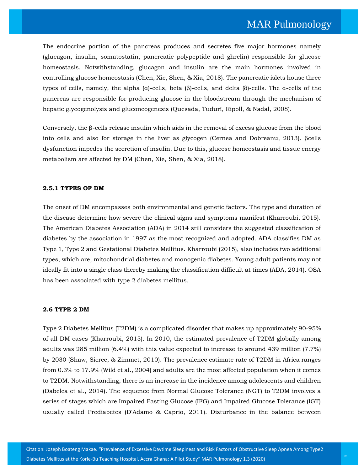The endocrine portion of the pancreas produces and secretes five major hormones namely (glucagon, insulin, somatostatin, pancreatic polypeptide and ghrelin) responsible for glucose homeostasis. Notwithstanding, glucagon and insulin are the main hormones involved in controlling glucose homeostasis (Chen, Xie, Shen, & Xia, 2018). The pancreatic islets house three types of cells, namely, the alpha (α)-cells, beta (β)-cells, and delta (δ)-cells. The α-cells of the pancreas are responsible for producing glucose in the bloodstream through the mechanism of hepatic glycogenolysis and gluconeogenesis (Quesada, Tudurí, Ripoll, & Nadal, 2008).

Conversely, the β-cells release insulin which aids in the removal of excess glucose from the blood into cells and also for storage in the liver as glycogen (Cernea and Dobreanu, 2013). βcells dysfunction impedes the secretion of insulin. Due to this, glucose homeostasis and tissue energy metabolism are affected by DM (Chen, Xie, Shen, & Xia, 2018).

#### **2.5.1 TYPES OF DM**

The onset of DM encompasses both environmental and genetic factors. The type and duration of the disease determine how severe the clinical signs and symptoms manifest (Kharroubi, 2015). The American Diabetes Association (ADA) in 2014 still considers the suggested classification of diabetes by the association in 1997 as the most recognized and adopted. ADA classifies DM as Type 1, Type 2 and Gestational Diabetes Mellitus. Kharroubi (2015), also includes two additional types, which are, mitochondrial diabetes and monogenic diabetes. Young adult patients may not ideally fit into a single class thereby making the classification difficult at times (ADA, 2014). OSA has been associated with type 2 diabetes mellitus.

#### **2.6 TYPE 2 DM**

Type 2 Diabetes Mellitus (T2DM) is a complicated disorder that makes up approximately 90-95% of all DM cases (Kharroubi, 2015). In 2010, the estimated prevalence of T2DM globally among adults was 285 million (6.4%) with this value expected to increase to around 439 million (7.7%) by 2030 (Shaw, Sicree, & Zimmet, 2010). The prevalence estimate rate of T2DM in Africa ranges from 0.3% to 17.9% (Wild et al., 2004) and adults are the most affected population when it comes to T2DM. Notwithstanding, there is an increase in the incidence among adolescents and children (Dabelea et al., 2014). The sequence from Normal Glucose Tolerance (NGT) to T2DM involves a series of stages which are Impaired Fasting Glucose (IFG) and Impaired Glucose Tolerance (IGT) usually called Prediabetes (D'Adamo & Caprio, 2011). Disturbance in the balance between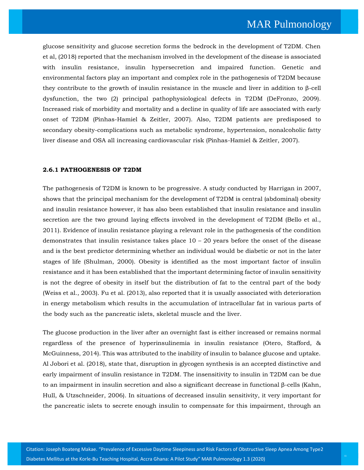glucose sensitivity and glucose secretion forms the bedrock in the development of T2DM. Chen et al, (2018) reported that the mechanism involved in the development of the disease is associated with insulin resistance, insulin hypersecretion and impaired function. Genetic and environmental factors play an important and complex role in the pathogenesis of T2DM because they contribute to the growth of insulin resistance in the muscle and liver in addition to β-cell dysfunction, the two (2) principal pathophysiological defects in T2DM (DeFronzo, 2009). Increased risk of morbidity and mortality and a decline in quality of life are associated with early onset of T2DM (Pinhas-Hamiel & Zeitler, 2007). Also, T2DM patients are predisposed to secondary obesity-complications such as metabolic syndrome, hypertension, nonalcoholic fatty liver disease and OSA all increasing cardiovascular risk (Pinhas-Hamiel & Zeitler, 2007).

#### **2.6.1 PATHOGENESIS OF T2DM**

The pathogenesis of T2DM is known to be progressive. A study conducted by Harrigan in 2007, shows that the principal mechanism for the development of T2DM is central (abdominal) obesity and insulin resistance however, it has also been established that insulin resistance and insulin secretion are the two ground laying effects involved in the development of T2DM (Bello et al., 2011). Evidence of insulin resistance playing a relevant role in the pathogenesis of the condition demonstrates that insulin resistance takes place  $10 - 20$  years before the onset of the disease and is the best predictor determining whether an individual would be diabetic or not in the later stages of life (Shulman, 2000). Obesity is identified as the most important factor of insulin resistance and it has been established that the important determining factor of insulin sensitivity is not the degree of obesity in itself but the distribution of fat to the central part of the body (Weiss et al., 2003). Fu et al. (2013), also reported that it is usually associated with deterioration in energy metabolism which results in the accumulation of intracellular fat in various parts of the body such as the pancreatic islets, skeletal muscle and the liver.

The glucose production in the liver after an overnight fast is either increased or remains normal regardless of the presence of hyperinsulinemia in insulin resistance (Otero, Stafford, & McGuinness, 2014). This was attributed to the inability of insulin to balance glucose and uptake. Al Jobori et al. (2018), state that, disruption in glycogen synthesis is an accepted distinctive and early impairment of insulin resistance in T2DM. The insensitivity to insulin in T2DM can be due to an impairment in insulin secretion and also a significant decrease in functional β-cells (Kahn, Hull, & Utzschneider, 2006). In situations of decreased insulin sensitivity, it very important for the pancreatic islets to secrete enough insulin to compensate for this impairment, through an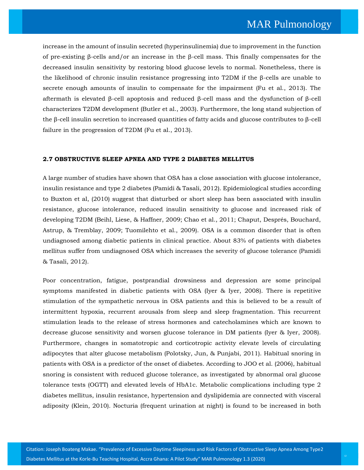increase in the amount of insulin secreted (hyperinsulinemia) due to improvement in the function of pre-existing β-cells and/or an increase in the β-cell mass. This finally compensates for the decreased insulin sensitivity by restoring blood glucose levels to normal. Nonetheless, there is the likelihood of chronic insulin resistance progressing into T2DM if the β-cells are unable to secrete enough amounts of insulin to compensate for the impairment (Fu et al., 2013). The aftermath is elevated β-cell apoptosis and reduced β-cell mass and the dysfunction of β-cell characterizes T2DM development (Butler et al., 2003). Furthermore, the long stand subjection of the β-cell insulin secretion to increased quantities of fatty acids and glucose contributes to β-cell failure in the progression of T2DM (Fu et al., 2013).

## **2.7 OBSTRUCTIVE SLEEP APNEA AND TYPE 2 DIABETES MELLITUS**

A large number of studies have shown that OSA has a close association with glucose intolerance, insulin resistance and type 2 diabetes (Pamidi & Tasali, 2012). Epidemiological studies according to Buxton et al, (2010) suggest that disturbed or short sleep has been associated with insulin resistance, glucose intolerance, reduced insulin sensitivity to glucose and increased risk of developing T2DM (Beihl, Liese, & Haffner, 2009; Chao et al., 2011; Chaput, Després, Bouchard, Astrup, & Tremblay, 2009; Tuomilehto et al., 2009). OSA is a common disorder that is often undiagnosed among diabetic patients in clinical practice. About 83% of patients with diabetes mellitus suffer from undiagnosed OSA which increases the severity of glucose tolerance (Pamidi & Tasali, 2012).

Poor concentration, fatigue, postprandial drowsiness and depression are some principal symptoms manifested in diabetic patients with OSA (Iyer & Iyer, 2008). There is repetitive stimulation of the sympathetic nervous in OSA patients and this is believed to be a result of intermittent hypoxia, recurrent arousals from sleep and sleep fragmentation. This recurrent stimulation leads to the release of stress hormones and catecholamines which are known to decrease glucose sensitivity and worsen glucose tolerance in DM patients (Iyer & Iyer, 2008). Furthermore, changes in somatotropic and corticotropic activity elevate levels of circulating adipocytes that alter glucose metabolism (Polotsky, Jun, & Punjabi, 2011). Habitual snoring in patients with OSA is a predictor of the onset of diabetes. According to JOO et al. (2006), habitual snoring is consistent with reduced glucose tolerance, as investigated by abnormal oral glucose tolerance tests (OGTT) and elevated levels of HbA1c. Metabolic complications including type 2 diabetes mellitus, insulin resistance, hypertension and dyslipidemia are connected with visceral adiposity (Klein, 2010). Nocturia (frequent urination at night) is found to be increased in both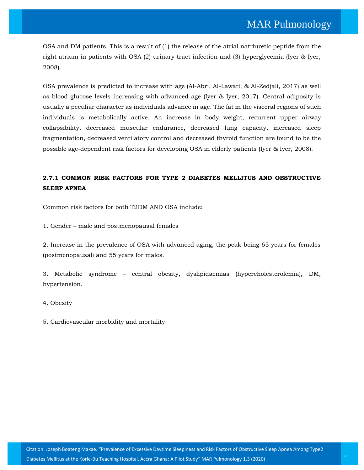OSA and DM patients. This is a result of (1) the release of the atrial natriuretic peptide from the right atrium in patients with OSA (2) urinary tract infection and (3) hyperglycemia (Iyer & Iyer, 2008).

OSA prevalence is predicted to increase with age (Al-Abri, Al-Lawati, & Al-Zedjali, 2017) as well as blood glucose levels increasing with advanced age (Iyer & Iyer, 2017). Central adiposity is usually a peculiar character as individuals advance in age. The fat in the visceral regions of such individuals is metabolically active. An increase in body weight, recurrent upper airway collapsibility, decreased muscular endurance, decreased lung capacity, increased sleep fragmentation, decreased ventilatory control and decreased thyroid function are found to be the possible age-dependent risk factors for developing OSA in elderly patients (Iyer & Iyer, 2008).

## **2.7.1 COMMON RISK FACTORS FOR TYPE 2 DIABETES MELLITUS AND OBSTRUCTIVE SLEEP APNEA**

Common risk factors for both T2DM AND OSA include:

1. Gender – male and postmenopausal females

2. Increase in the prevalence of OSA with advanced aging, the peak being 65 years for females (postmenopausal) and 55 years for males.

3. Metabolic syndrome – central obesity, dyslipidaemias (hypercholesterolemia), DM, hypertension.

4. Obesity

5. Cardiovascular morbidity and mortality.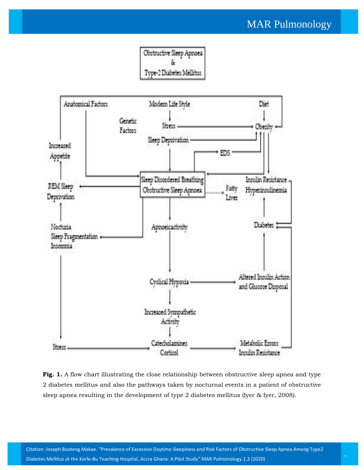## MAR Pulmonology





Fig. 1. A flow chart illustrating the close relationship between obstructive sleep apnea and type 2 diabetes mellitus and also the pathways taken by nocturnal events in a patient of obstructive sleep apnea resulting in the development of type 2 diabetes mellitus (Iyer & Iyer, 2008).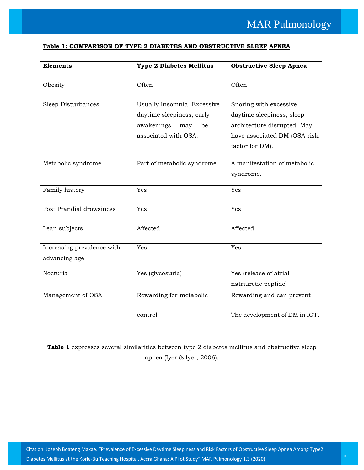## **Table 1: COMPARISON OF TYPE 2 DIABETES AND OBSTRUCTIVE SLEEP APNEA**

| <b>Elements</b>                             | <b>Type 2 Diabetes Mellitus</b>                                                     | <b>Obstructive Sleep Apnea</b>                                                     |
|---------------------------------------------|-------------------------------------------------------------------------------------|------------------------------------------------------------------------------------|
| Obesity                                     | Often                                                                               | Often                                                                              |
| Sleep Disturbances                          | Usually Insomnia, Excessive<br>daytime sleepiness, early<br>awakenings<br>may<br>be | Snoring with excessive<br>daytime sleepiness, sleep<br>architecture disrupted. May |
|                                             | associated with OSA.                                                                | have associated DM (OSA risk<br>factor for DM).                                    |
| Metabolic syndrome                          | Part of metabolic syndrome                                                          | A manifestation of metabolic<br>syndrome.                                          |
| Family history                              | Yes                                                                                 | Yes                                                                                |
| Post Prandial drowsiness                    | Yes                                                                                 | Yes                                                                                |
| Lean subjects                               | Affected                                                                            | Affected                                                                           |
| Increasing prevalence with<br>advancing age | Yes                                                                                 | Yes                                                                                |
| Nocturia                                    | Yes (glycosuria)                                                                    | Yes (release of atrial<br>natriuretic peptide)                                     |
| Management of OSA                           | Rewarding for metabolic                                                             | Rewarding and can prevent                                                          |
|                                             | control                                                                             | The development of DM in IGT.                                                      |

Table 1 expresses several similarities between type 2 diabetes mellitus and obstructive sleep apnea (Iyer & Iyer, 2006).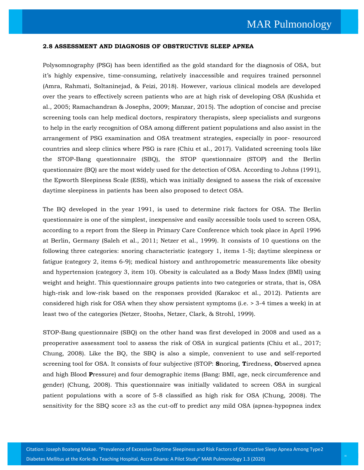#### **2.8 ASSESSMENT AND DIAGNOSIS OF OBSTRUCTIVE SLEEP APNEA**

Polysomnography (PSG) has been identified as the gold standard for the diagnosis of OSA, but it's highly expensive, time-consuming, relatively inaccessible and requires trained personnel (Amra, Rahmati, Soltaninejad, & Feizi, 2018). However, various clinical models are developed over the years to effectively screen patients who are at high risk of developing OSA (Kushida et al., 2005; Ramachandran & Josephs, 2009; Manzar, 2015). The adoption of concise and precise screening tools can help medical doctors, respiratory therapists, sleep specialists and surgeons to help in the early recognition of OSA among different patient populations and also assist in the arrangement of PSG examination and OSA treatment strategies, especially in poor- resourced countries and sleep clinics where PSG is rare (Chiu et al., 2017). Validated screening tools like the STOP-Bang questionnaire (SBQ), the STOP questionnaire (STOP) and the Berlin questionnaire (BQ) are the most widely used for the detection of OSA. According to Johns (1991), the Epworth Sleepiness Scale (ESS), which was initially designed to assess the risk of excessive daytime sleepiness in patients has been also proposed to detect OSA.

The BQ developed in the year 1991, is used to determine risk factors for OSA. The Berlin questionnaire is one of the simplest, inexpensive and easily accessible tools used to screen OSA, according to a report from the Sleep in Primary Care Conference which took place in April 1996 at Berlin, Germany (Saleh et al., 2011; Netzer et al., 1999). It consists of 10 questions on the following three categories: snoring characteristic (category 1, items 1-5); daytime sleepiness or fatigue (category 2, items 6-9); medical history and anthropometric measurements like obesity and hypertension (category 3, item 10). Obesity is calculated as a Body Mass Index (BMI) using weight and height. This questionnaire groups patients into two categories or strata, that is, OSA high-risk and low-risk based on the responses provided (Karakoc et al., 2012). Patients are considered high risk for OSA when they show persistent symptoms (i.e. > 3-4 times a week) in at least two of the categories (Netzer, Stoohs, Netzer, Clark, & Strohl, 1999).

STOP-Bang questionnaire (SBQ) on the other hand was first developed in 2008 and used as a preoperative assessment tool to assess the risk of OSA in surgical patients (Chiu et al., 2017; Chung, 2008). Like the BQ, the SBQ is also a simple, convenient to use and self-reported screening tool for OSA. It consists of four subjective (STOP: **S**noring, **T**iredness, **O**bserved apnea and high Blood **P**ressure) and four demographic items (Bang: BMI, age, neck circumference and gender) (Chung, 2008). This questionnaire was initially validated to screen OSA in surgical patient populations with a score of 5-8 classified as high risk for OSA (Chung, 2008). The sensitivity for the SBQ score  $\geq 3$  as the cut-off to predict any mild OSA (apnea-hypopnea index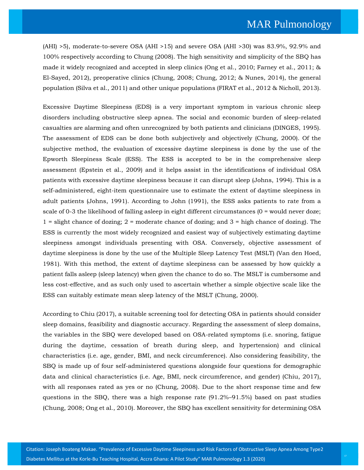(AHI) >5), moderate-to-severe OSA (AHI >15) and severe OSA (AHI >30) was 83.9%, 92.9% and 100% respectively according to Chung (2008). The high sensitivity and simplicity of the SBQ has made it widely recognized and accepted in sleep clinics (Ong et al., 2010; Farney et al., 2011; & El-Sayed, 2012), preoperative clinics (Chung, 2008; Chung, 2012; & Nunes, 2014), the general population (Silva et al., 2011) and other unique populations (FIRAT et al., 2012 & Nicholl, 2013).

Excessive Daytime Sleepiness (EDS) is a very important symptom in various chronic sleep disorders including obstructive sleep apnea. The social and economic burden of sleep-related casualties are alarming and often unrecognized by both patients and clinicians (DINGES, 1995). The assessment of EDS can be done both subjectively and objectively (Chung, 2000). Of the subjective method, the evaluation of excessive daytime sleepiness is done by the use of the Epworth Sleepiness Scale (ESS). The ESS is accepted to be in the comprehensive sleep assessment (Epstein et al., 2009) and it helps assist in the identifications of individual OSA patients with excessive daytime sleepiness because it can disrupt sleep (Johns, 1994). This is a self-administered, eight-item questionnaire use to estimate the extent of daytime sleepiness in adult patients (Johns, 1991). According to John (1991), the ESS asks patients to rate from a scale of 0-3 the likelihood of falling asleep in eight different circumstances (0 = would never doze; 1 = slight chance of dozing; 2 = moderate chance of dozing; and 3 = high chance of dozing). The ESS is currently the most widely recognized and easiest way of subjectively estimating daytime sleepiness amongst individuals presenting with OSA. Conversely, objective assessment of daytime sleepiness is done by the use of the Multiple Sleep Latency Test (MSLT) (Van den Hoed, 1981). With this method, the extent of daytime sleepiness can be assessed by how quickly a patient falls asleep (sleep latency) when given the chance to do so. The MSLT is cumbersome and less cost-effective, and as such only used to ascertain whether a simple objective scale like the ESS can suitably estimate mean sleep latency of the MSLT (Chung, 2000).

According to Chiu (2017), a suitable screening tool for detecting OSA in patients should consider sleep domains, feasibility and diagnostic accuracy. Regarding the assessment of sleep domains, the variables in the SBQ were developed based on OSA-related symptoms (i.e. snoring, fatigue during the daytime, cessation of breath during sleep, and hypertension) and clinical characteristics (i.e. age, gender, BMI, and neck circumference). Also considering feasibility, the SBQ is made up of four self-administered questions alongside four questions for demographic data and clinical characteristics (i.e. Age, BMI, neck circumference, and gender) (Chiu, 2017), with all responses rated as yes or no (Chung, 2008). Due to the short response time and few questions in the SBQ, there was a high response rate (91.2%–91.5%) based on past studies (Chung, 2008; Ong et al., 2010). Moreover, the SBQ has excellent sensitivity for determining OSA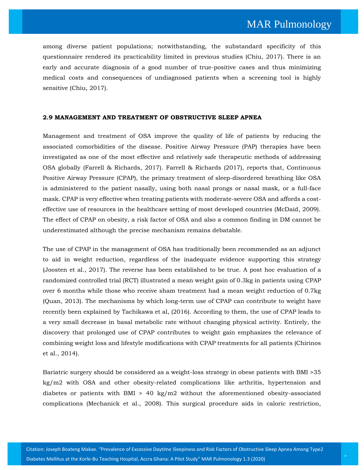among diverse patient populations; notwithstanding, the substandard specificity of this questionnaire rendered its practicability limited in previous studies (Chiu, 2017). There is an early and accurate diagnosis of a good number of true-positive cases and thus minimizing medical costs and consequences of undiagnosed patients when a screening tool is highly sensitive (Chiu, 2017).

#### **2.9 MANAGEMENT AND TREATMENT OF OBSTRUCTIVE SLEEP APNEA**

Management and treatment of OSA improve the quality of life of patients by reducing the associated comorbidities of the disease. Positive Airway Pressure (PAP) therapies have been investigated as one of the most effective and relatively safe therapeutic methods of addressing OSA globally (Farrell & Richards, 2017). Farrell & Richards (2017), reports that, Continuous Positive Airway Pressure (CPAP), the primary treatment of sleep-disordered breathing like OSA is administered to the patient nasally, using both nasal prongs or nasal mask, or a full-face mask. CPAP is very effective when treating patients with moderate-severe OSA and affords a costeffective use of resources in the healthcare setting of most developed countries (McDaid, 2009). The effect of CPAP on obesity, a risk factor of OSA and also a common finding in DM cannot be underestimated although the precise mechanism remains debatable.

The use of CPAP in the management of OSA has traditionally been recommended as an adjunct to aid in weight reduction, regardless of the inadequate evidence supporting this strategy (Joosten et al., 2017). The reverse has been established to be true. A post hoc evaluation of a randomized controlled trial (RCT) illustrated a mean weight gain of 0.3kg in patients using CPAP over 6 months while those who receive sham treatment had a mean weight reduction of 0.7kg (Quan, 2013). The mechanisms by which long-term use of CPAP can contribute to weight have recently been explained by Tachikawa et al, (2016). According to them, the use of CPAP leads to a very small decrease in basal metabolic rate without changing physical activity. Entirely, the discovery that prolonged use of CPAP contributes to weight gain emphasizes the relevance of combining weight loss and lifestyle modifications with CPAP treatments for all patients (Chirinos et al., 2014).

Bariatric surgery should be considered as a weight-loss strategy in obese patients with BMI >35 kg/m2 with OSA and other obesity-related complications like arthritis, hypertension and diabetes or patients with BMI  $> 40 \text{ kg/m2}$  without the aforementioned obesity-associated complications (Mechanick et al., 2008). This surgical procedure aids in caloric restriction,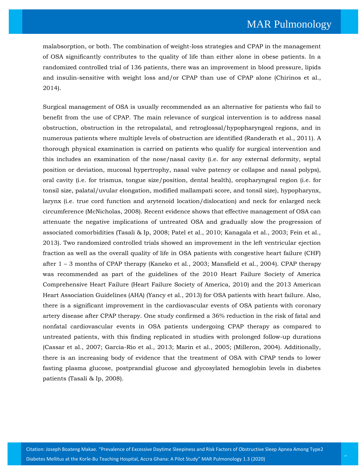malabsorption, or both. The combination of weight-loss strategies and CPAP in the management of OSA significantly contributes to the quality of life than either alone in obese patients. In a randomized controlled trial of 136 patients, there was an improvement in blood pressure, lipids and insulin-sensitive with weight loss and/or CPAP than use of CPAP alone (Chirinos et al., 2014).

Surgical management of OSA is usually recommended as an alternative for patients who fail to benefit from the use of CPAP. The main relevance of surgical intervention is to address nasal obstruction, obstruction in the retropalatal, and retroglossal/hypopharyngeal regions, and in numerous patients where multiple levels of obstruction are identified (Randerath et al., 2011). A thorough physical examination is carried on patients who qualify for surgical intervention and this includes an examination of the nose/nasal cavity (i.e. for any external deformity, septal position or deviation, mucosal hypertrophy, nasal valve patency or collapse and nasal polyps), oral cavity (i.e. for trismus, tongue size/position, dental health), oropharyngeal region (i.e. for tonsil size, palatal/uvular elongation, modified mallampati score, and tonsil size), hypopharynx, larynx (i.e. true cord function and arytenoid location/dislocation) and neck for enlarged neck circumference (McNicholas, 2008). Recent evidence shows that effective management of OSA can attenuate the negative implications of untreated OSA and gradually slow the progression of associated comorbidities (Tasali & Ip, 2008; Patel et al., 2010; Kanagala et al., 2003; Fein et al., 2013). Two randomized controlled trials showed an improvement in the left ventricular ejection fraction as well as the overall quality of life in OSA patients with congestive heart failure (CHF) after 1 – 3 months of CPAP therapy (Kaneko et al., 2003; Mansfield et al., 2004). CPAP therapy was recommended as part of the guidelines of the 2010 Heart Failure Society of America Comprehensive Heart Failure (Heart Failure Society of America, 2010) and the 2013 American Heart Association Guidelines (AHA) (Yancy et al., 2013) for OSA patients with heart failure. Also, there is a significant improvement in the cardiovascular events of OSA patients with coronary artery disease after CPAP therapy. One study confirmed a 36% reduction in the risk of fatal and nonfatal cardiovascular events in OSA patients undergoing CPAP therapy as compared to untreated patients, with this finding replicated in studies with prolonged follow-up durations (Cassar et al., 2007; Garcia-Rio et al., 2013; Marin et al., 2005; (Milleron, 2004). Additionally, there is an increasing body of evidence that the treatment of OSA with CPAP tends to lower fasting plasma glucose, postprandial glucose and glycosylated hemoglobin levels in diabetes patients (Tasali & Ip, 2008).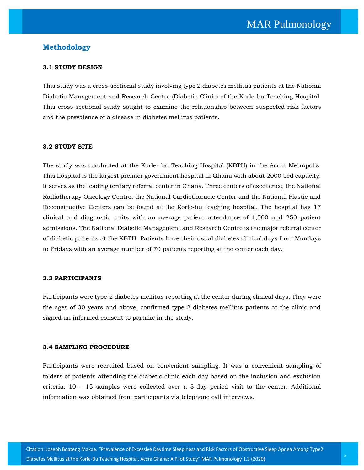## **Methodology**

#### **3.1 STUDY DESIGN**

This study was a cross-sectional study involving type 2 diabetes mellitus patients at the National Diabetic Management and Research Centre (Diabetic Clinic) of the Korle-bu Teaching Hospital. This cross-sectional study sought to examine the relationship between suspected risk factors and the prevalence of a disease in diabetes mellitus patients.

## **3.2 STUDY SITE**

The study was conducted at the Korle- bu Teaching Hospital (KBTH) in the Accra Metropolis. This hospital is the largest premier government hospital in Ghana with about 2000 bed capacity. It serves as the leading tertiary referral center in Ghana. Three centers of excellence, the National Radiotherapy Oncology Centre, the National Cardiothoracic Center and the National Plastic and Reconstructive Centers can be found at the Korle-bu teaching hospital. The hospital has 17 clinical and diagnostic units with an average patient attendance of 1,500 and 250 patient admissions. The National Diabetic Management and Research Centre is the major referral center of diabetic patients at the KBTH. Patients have their usual diabetes clinical days from Mondays to Fridays with an average number of 70 patients reporting at the center each day.

#### **3.3 PARTICIPANTS**

Participants were type-2 diabetes mellitus reporting at the center during clinical days. They were the ages of 30 years and above, confirmed type 2 diabetes mellitus patients at the clinic and signed an informed consent to partake in the study.

#### **3.4 SAMPLING PROCEDURE**

Participants were recruited based on convenient sampling. It was a convenient sampling of folders of patients attending the diabetic clinic each day based on the inclusion and exclusion criteria. 10 – 15 samples were collected over a 3-day period visit to the center. Additional information was obtained from participants via telephone call interviews.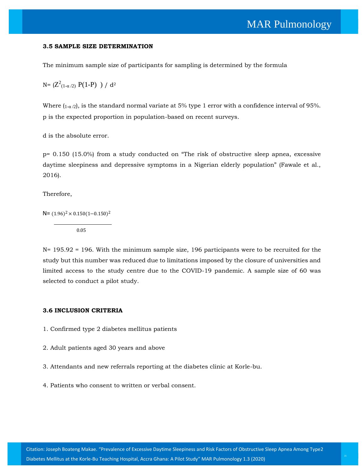#### **3.5 SAMPLE SIZE DETERMINATION**

The minimum sample size of participants for sampling is determined by the formula

N=  $(Z^2_{(1-\alpha/2)} P(1-P) ) / d^2$ 

Where  $(1-a/2)$ , is the standard normal variate at 5% type 1 error with a confidence interval of 95%. p is the expected proportion in population-based on recent surveys.

d is the absolute error.

p= 0.150 (15.0%) from a study conducted on "The risk of obstructive sleep apnea, excessive daytime sleepiness and depressive symptoms in a Nigerian elderly population" (Fawale et al., 2016).

Therefore,

N=  $(1.96)^2 \times 0.150(1 - 0.150)^2$ 0.05

N= 195.92 = 196. With the minimum sample size, 196 participants were to be recruited for the study but this number was reduced due to limitations imposed by the closure of universities and limited access to the study centre due to the COVID-19 pandemic. A sample size of 60 was selected to conduct a pilot study.

#### **3.6 INCLUSION CRITERIA**

- 1. Confirmed type 2 diabetes mellitus patients
- 2. Adult patients aged 30 years and above
- 3. Attendants and new referrals reporting at the diabetes clinic at Korle-bu.
- 4. Patients who consent to written or verbal consent.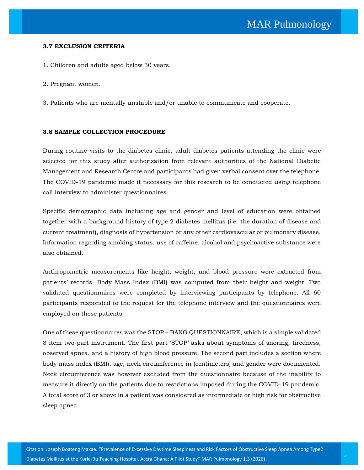#### **3.7 EXCLUSION CRITERIA**

- 1. Children and adults aged below 30 years.
- 2. Pregnant women.
- 3. Patients who are mentally unstable and/or unable to communicate and cooperate.

#### **3.8 SAMPLE COLLECTION PROCEDURE**

During routine visits to the diabetes clinic, adult diabetes patients attending the clinic were selected for this study after authorization from relevant authorities of the National Diabetic Management and Research Centre and participants had given verbal consent over the telephone. The COVID-19 pandemic made it necessary for this research to be conducted using telephone call interview to administer questionnaires.

Specific demographic data including age and gender and level of education were obtained together with a background history of type 2 diabetes mellitus (i.e. the duration of disease and current treatment), diagnosis of hypertension or any other cardiovascular or pulmonary disease. Information regarding smoking status, use of caffeine, alcohol and psychoactive substance were also obtained.

Anthropometric measurements like height, weight, and blood pressure were extracted from patients' records. Body Mass Index (BMI) was computed from their height and weight. Two validated questionnaires were completed by interviewing participants by telephone. All 60 participants responded to the request for the telephone interview and the questionnaires were employed on these patients.

One of these questionnaires was the STOP – BANG QUESTIONNAIRE, which is a simple validated 8 item two-part instrument. The first part 'STOP' asks about symptoms of snoring, tiredness, observed apnea, and a history of high blood pressure*.* The second part includes a section where body mass index (BMI), age, neck circumference in (centimeters) and gender were documented. Neck circumference was however excluded from the questionnaire because of the inability to measure it directly on the patients due to restrictions imposed during the COVID-19 pandemic. A total score of 3 or above in a patient was considered as intermediate or high risk for obstructive sleep apnea.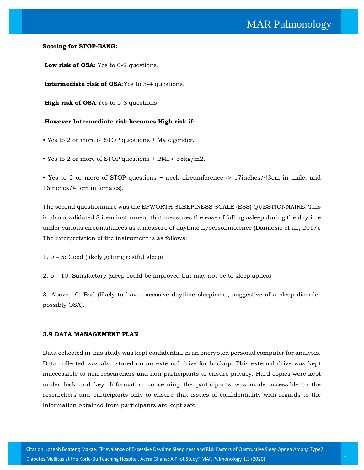#### **Scoring for STOP-BANG:**

**Low risk of OSA:** Yes to 0-2 questions.

**Intermediate risk of OSA**:Yes to 3-4 questions.

**High risk of OSA**:Yes to 5-8 questions

## **However Intermediate risk becomes High risk if:**

- Yes to 2 or more of STOP questions + Male gender.
- Yes to 2 or more of STOP questions + BMI > 35kg/m2.

• Yes to 2 or more of STOP questions + neck circumference (> 17inches/43cm in male, and 16inches/41cm in females).

The second questionnaire was the EPWORTH SLEEPINESS SCALE (ESS) QUESTIONNAIRE. This is also a validated 8 item instrument that measures the ease of falling asleep during the daytime under various circumstances as a measure of daytime hypersomnolence (Daniłosio et al., 2017). The interpretation of the instrument is as follows:

- 1. 0 5: Good (likely getting restful sleep)
- 2. 6 10: Satisfactory (sleep could be improved but may not be to sleep apnea)

3. Above 10: Bad (likely to have excessive daytime sleepiness; suggestive of a sleep disorder possibly OSA).

#### **3.9 DATA MANAGEMENT PLAN**

Data collected in this study was kept confidential in an encrypted personal computer for analysis. Data collected was also stored on an external drive for backup. This external drive was kept inaccessible to non-researchers and non-participants to ensure privacy. Hard copies were kept under lock and key. Information concerning the participants was made accessible to the researchers and participants only to ensure that issues of confidentiality with regards to the information obtained from participants are kept safe.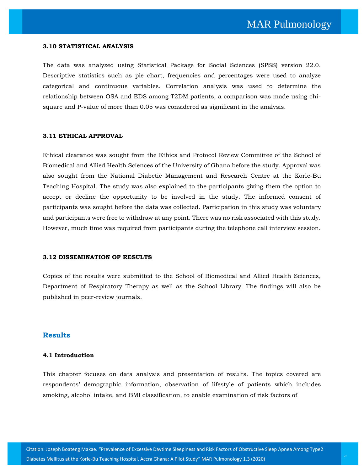#### **3.10 STATISTICAL ANALYSIS**

The data was analyzed using Statistical Package for Social Sciences (SPSS) version 22.0. Descriptive statistics such as pie chart, frequencies and percentages were used to analyze categorical and continuous variables. Correlation analysis was used to determine the relationship between OSA and EDS among T2DM patients, a comparison was made using chisquare and P-value of more than 0.05 was considered as significant in the analysis.

#### **3.11 ETHICAL APPROVAL**

Ethical clearance was sought from the Ethics and Protocol Review Committee of the School of Biomedical and Allied Health Sciences of the University of Ghana before the study. Approval was also sought from the National Diabetic Management and Research Centre at the Korle-Bu Teaching Hospital. The study was also explained to the participants giving them the option to accept or decline the opportunity to be involved in the study. The informed consent of participants was sought before the data was collected. Participation in this study was voluntary and participants were free to withdraw at any point. There was no risk associated with this study. However, much time was required from participants during the telephone call interview session.

#### **3.12 DISSEMINATION OF RESULTS**

Copies of the results were submitted to the School of Biomedical and Allied Health Sciences, Department of Respiratory Therapy as well as the School Library. The findings will also be published in peer-review journals.

#### **Results**

#### **4.1 Introduction**

This chapter focuses on data analysis and presentation of results. The topics covered are respondents' demographic information, observation of lifestyle of patients which includes smoking, alcohol intake, and BMI classification, to enable examination of risk factors of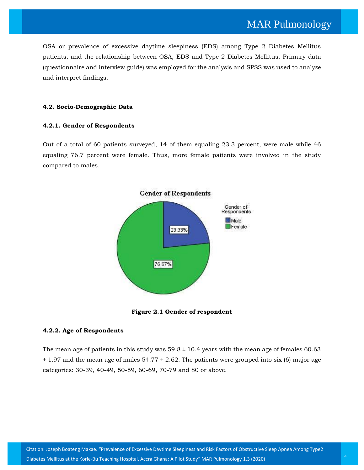OSA or prevalence of excessive daytime sleepiness (EDS) among Type 2 Diabetes Mellitus patients, and the relationship between OSA, EDS and Type 2 Diabetes Mellitus. Primary data (questionnaire and interview guide) was employed for the analysis and SPSS was used to analyze and interpret findings.

## **4.2. Socio-Demographic Data**

## **4.2.1. Gender of Respondents**

Out of a total of 60 patients surveyed, 14 of them equaling 23.3 percent, were male while 46 equaling 76.7 percent were female. Thus, more female patients were involved in the study compared to males.



**Figure 2.1 Gender of respondent**

## **4.2.2. Age of Respondents**

The mean age of patients in this study was  $59.8 \pm 10.4$  years with the mean age of females 60.63  $\pm$  1.97 and the mean age of males 54.77  $\pm$  2.62. The patients were grouped into six (6) major age categories: 30-39, 40-49, 50-59, 60-69, 70-79 and 80 or above.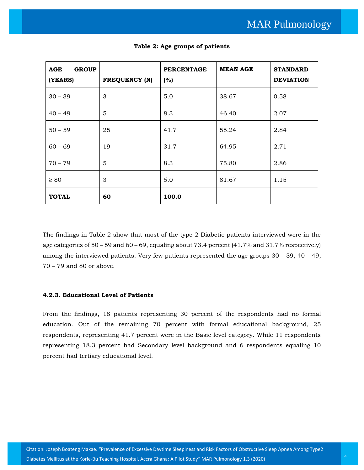| <b>GROUP</b><br>AGE<br>(YEARS) | <b>FREQUENCY (N)</b> | <b>PERCENTAGE</b><br>(%) | <b>MEAN AGE</b> | <b>STANDARD</b><br><b>DEVIATION</b> |
|--------------------------------|----------------------|--------------------------|-----------------|-------------------------------------|
| $30 - 39$                      | 3                    | 5.0                      | 38.67           | 0.58                                |
| $40 - 49$                      | 5                    | 8.3                      | 46.40           | 2.07                                |
| $50 - 59$                      | 25                   | 41.7                     | 55.24           | 2.84                                |
| $60 - 69$                      | 19                   | 31.7                     | 64.95           | 2.71                                |
| $70 - 79$                      | 5                    | 8.3                      | 75.80           | 2.86                                |
| $\geq 80$                      | 3                    | 5.0                      | 81.67           | 1.15                                |
| <b>TOTAL</b>                   | 60                   | 100.0                    |                 |                                     |

**Table 2: Age groups of patients**

The findings in Table 2 show that most of the type 2 Diabetic patients interviewed were in the age categories of  $50 - 59$  and  $60 - 69$ , equaling about 73.4 percent (41.7% and 31.7% respectively) among the interviewed patients. Very few patients represented the age groups  $30 - 39$ ,  $40 - 49$ , 70 – 79 and 80 or above.

## **4.2.3. Educational Level of Patients**

From the findings, 18 patients representing 30 percent of the respondents had no formal education. Out of the remaining 70 percent with formal educational background, 25 respondents, representing 41.7 percent were in the Basic level category. While 11 respondents representing 18.3 percent had Secondary level background and 6 respondents equaling 10 percent had tertiary educational level.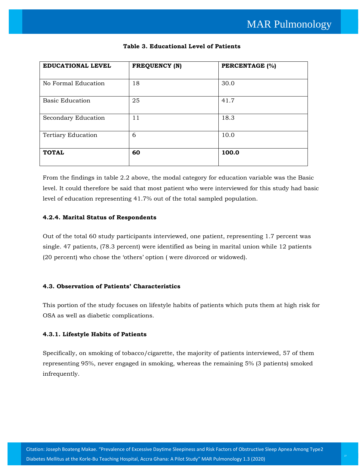| EDUCATIONAL LEVEL         | <b>FREQUENCY (N)</b> | PERCENTAGE (%) |
|---------------------------|----------------------|----------------|
|                           |                      |                |
| No Formal Education       | 18                   | 30.0           |
| <b>Basic Education</b>    | 25                   | 41.7           |
| Secondary Education       | 11                   | 18.3           |
| <b>Tertiary Education</b> | 6                    | 10.0           |
| <b>TOTAL</b>              | 60                   | 100.0          |

## **Table 3. Educational Level of Patients**

From the findings in table 2.2 above, the modal category for education variable was the Basic level. It could therefore be said that most patient who were interviewed for this study had basic level of education representing 41.7% out of the total sampled population.

## **4.2.4. Marital Status of Respondents**

Out of the total 60 study participants interviewed, one patient, representing 1.7 percent was single. 47 patients, (78.3 percent) were identified as being in marital union while 12 patients (20 percent) who chose the 'others' option ( were divorced or widowed).

## **4.3. Observation of Patients' Characteristics**

This portion of the study focuses on lifestyle habits of patients which puts them at high risk for OSA as well as diabetic complications.

## **4.3.1. Lifestyle Habits of Patients**

Specifically, on smoking of tobacco/cigarette, the majority of patients interviewed, 57 of them representing 95%, never engaged in smoking, whereas the remaining 5% (3 patients) smoked infrequently.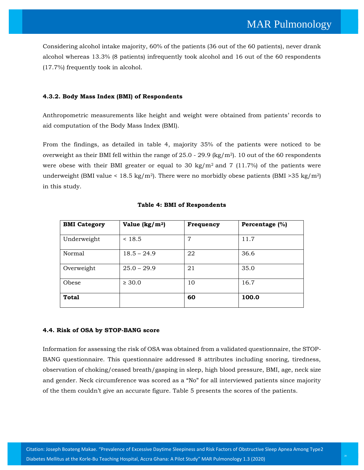Considering alcohol intake majority, 60% of the patients (36 out of the 60 patients), never drank alcohol whereas 13.3% (8 patients) infrequently took alcohol and 16 out of the 60 respondents (17.7%) frequently took in alcohol.

## **4.3.2. Body Mass Index (BMI) of Respondents**

Anthropometric measurements like height and weight were obtained from patients' records to aid computation of the Body Mass Index (BMI).

From the findings, as detailed in table 4, majority 35% of the patients were noticed to be overweight as their BMI fell within the range of  $25.0$  -  $29.9$  (kg/m<sup>2</sup>). 10 out of the 60 respondents were obese with their BMI greater or equal to 30 kg/ $m^2$  and 7 (11.7%) of the patients were underweight (BMI value < 18.5 kg/m<sup>2</sup>). There were no morbidly obese patients (BMI > 35 kg/m<sup>2</sup>) in this study.

| <b>BMI</b> Category | Value $\frac{\text{kg}}{m^2}$ | Frequency | Percentage (%) |
|---------------------|-------------------------------|-----------|----------------|
| Underweight         | < 18.5                        | 7         | 11.7           |
| Normal              | $18.5 - 24.9$                 | 22        | 36.6           |
| Overweight          | $25.0 - 29.9$                 | 21        | 35.0           |
| Obese               | $\geq 30.0$                   | 10        | 16.7           |
| <b>Total</b>        |                               | 60        | 100.0          |

## **Table 4: BMI of Respondents**

## **4.4. Risk of OSA by STOP-BANG score**

Information for assessing the risk of OSA was obtained from a validated questionnaire, the STOP-BANG questionnaire. This questionnaire addressed 8 attributes including snoring, tiredness, observation of choking/ceased breath/gasping in sleep, high blood pressure, BMI, age, neck size and gender. Neck circumference was scored as a "No" for all interviewed patients since majority of the them couldn't give an accurate figure. Table 5 presents the scores of the patients.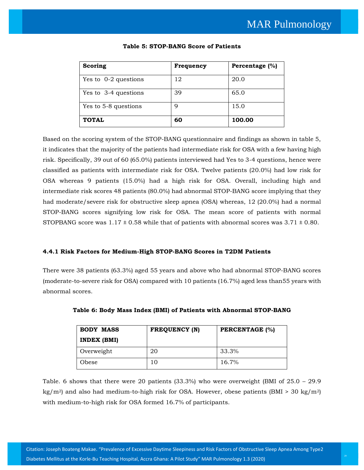| Scoring              | Frequency | Percentage (%) |
|----------------------|-----------|----------------|
| Yes to 0-2 questions | 12        | 20.0           |
| Yes to 3-4 questions | 39        | 65.0           |
| Yes to 5-8 questions | 9         | 15.0           |
| <b>TOTAL</b>         | 60        | 100.00         |

#### **Table 5: STOP-BANG Score of Patients**

Based on the scoring system of the STOP-BANG questionnaire and findings as shown in table 5, it indicates that the majority of the patients had intermediate risk for OSA with a few having high risk. Specifically, 39 out of 60 (65.0%) patients interviewed had Yes to 3-4 questions, hence were classified as patients with intermediate risk for OSA. Twelve patients (20.0%) had low risk for OSA whereas 9 patients (15.0%) had a high risk for OSA. Overall, including high and intermediate risk scores 48 patients (80.0%) had abnormal STOP-BANG score implying that they had moderate/severe risk for obstructive sleep apnea (OSA) whereas, 12 (20.0%) had a normal STOP-BANG scores signifying low risk for OSA. The mean score of patients with normal STOPBANG score was  $1.17 \pm 0.58$  while that of patients with abnormal scores was  $3.71 \pm 0.80$ .

## **4.4.1 Risk Factors for Medium-High STOP-BANG Scores in T2DM Patients**

There were 38 patients (63.3%) aged 55 years and above who had abnormal STOP-BANG scores (moderate-to-severe risk for OSA) compared with 10 patients (16.7%) aged less than55 years with abnormal scores.

| <b>BODY MASS</b> | <b>FREQUENCY (N)</b> | <b>PERCENTAGE (%)</b> |
|------------------|----------------------|-----------------------|
| INDEX (BMI)      |                      |                       |
| Overweight       | 20                   | 33.3%                 |
| Obese            | 10                   | $16.7\%$              |

| Table 6: Body Mass Index (BMI) of Patients with Abnormal STOP-BANG |  |  |  |  |  |  |  |  |  |  |  |
|--------------------------------------------------------------------|--|--|--|--|--|--|--|--|--|--|--|
|--------------------------------------------------------------------|--|--|--|--|--|--|--|--|--|--|--|

Table. 6 shows that there were 20 patients  $(33.3%)$  who were overweight (BMI of  $25.0 - 29.9$ kg/m<sup>2</sup>) and also had medium-to-high risk for OSA. However, obese patients (BMI > 30 kg/m<sup>2</sup>) with medium-to-high risk for OSA formed 16.7% of participants.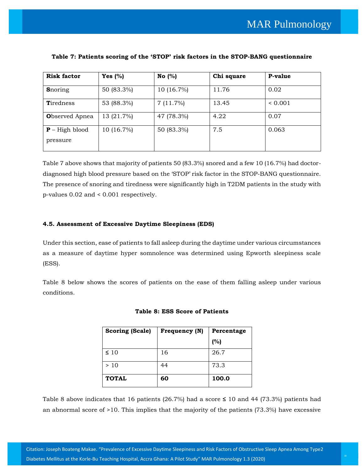| <b>Risk factor</b>    | Yes $(%)$    | No $(%)$     | Chi square | P-value     |
|-----------------------|--------------|--------------|------------|-------------|
| <b>S</b> noring       | 50 (83.3%)   | $10(16.7\%)$ | 11.76      | 0.02        |
| <b>Tiredness</b>      | 53 (88.3%)   | 7(11.7%)     | 13.45      | ${}< 0.001$ |
| <b>Observed Apnea</b> | 13 (21.7%)   | 47 (78.3%)   | 4.22       | 0.07        |
| $P - High blood$      | $10(16.7\%)$ | 50 (83.3%)   | 7.5        | 0.063       |
| pressure              |              |              |            |             |

### **Table 7: Patients scoring of the 'STOP' risk factors in the STOP-BANG questionnaire**

Table 7 above shows that majority of patients 50 (83.3%) snored and a few 10 (16.7%) had doctordiagnosed high blood pressure based on the 'STOP' risk factor in the STOP-BANG questionnaire. The presence of snoring and tiredness were significantly high in T2DM patients in the study with p-values 0.02 and < 0.001 respectively.

#### **4.5. Assessment of Excessive Daytime Sleepiness (EDS)**

Under this section, ease of patients to fall asleep during the daytime under various circumstances as a measure of daytime hyper somnolence was determined using Epworth sleepiness scale (ESS).

Table 8 below shows the scores of patients on the ease of them falling asleep under various conditions.

| <b>Scoring (Scale)</b> | Frequency (N) | Percentage |
|------------------------|---------------|------------|
|                        |               | (%)        |
| $\leq 10$              | 16            | 26.7       |
| >10                    | 44            | 73.3       |
| <b>TOTAL</b>           | 60            | 100.0      |

#### **Table 8: ESS Score of Patients**

Table 8 above indicates that 16 patients (26.7%) had a score **≤** 10 and 44 (73.3%) patients had an abnormal score of >10. This implies that the majority of the patients (73.3%) have excessive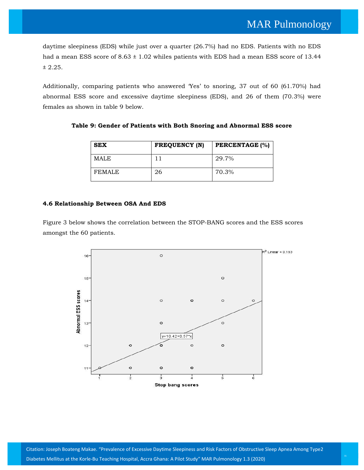daytime sleepiness (EDS) while just over a quarter (26.7%) had no EDS. Patients with no EDS had a mean ESS score of  $8.63 \pm 1.02$  whiles patients with EDS had a mean ESS score of 13.44 ± 2.25.

Additionally, comparing patients who answered 'Yes' to snoring, 37 out of 60 (61.70%) had abnormal ESS score and excessive daytime sleepiness (EDS), and 26 of them (70.3%) were females as shown in table 9 below.

**Table 9: Gender of Patients with Both Snoring and Abnormal ESS score**

| <b>SEX</b>  | <b>FREQUENCY (N)</b> | <b>PERCENTAGE (%)</b> |
|-------------|----------------------|-----------------------|
| <b>MALE</b> |                      | 29.7%                 |
| FEMALE      | 26                   | 70.3%                 |

#### **4.6 Relationship Between OSA And EDS**

Figure 3 below shows the correlation between the STOP-BANG scores and the ESS scores amongst the 60 patients.

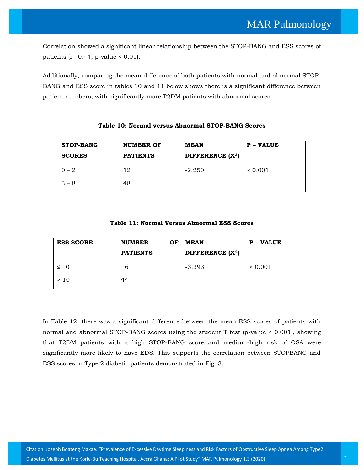Correlation showed a significant linear relationship between the STOP-BANG and ESS scores of patients ( $r = 0.44$ ; p-value < 0.01).

Additionally, comparing the mean difference of both patients with normal and abnormal STOP-BANG and ESS score in tables 10 and 11 below shows there is a significant difference between patient numbers, with significantly more T2DM patients with abnormal scores.

| <b>STOP-BANG</b><br><b>SCORES</b> | <b>NUMBER OF</b><br><b>PATIENTS</b> | MEAN<br>DIFFERENCE (X <sup>2</sup> ) | <b>P</b> – VALUE |
|-----------------------------------|-------------------------------------|--------------------------------------|------------------|
| $0 - 2$                           | 12                                  | $-2.250$                             | ${}< 0.001$      |
| $3 - 8$                           | 48                                  |                                      |                  |

## **Table 10: Normal versus Abnormal STOP-BANG Scores**

## **Table 11: Normal Versus Abnormal ESS Scores**

| <b>ESS SCORE</b> | <b>NUMBER</b><br>OF<br><b>PATIENTS</b> | <b>MEAN</b><br>DIFFERENCE (X <sup>2</sup> ) | <b>P</b> – VALUE |
|------------------|----------------------------------------|---------------------------------------------|------------------|
| $\leq 10$        | 16                                     | $-3.393$                                    | ${}< 0.001$      |
| > 10             | 44                                     |                                             |                  |

In Table 12, there was a significant difference between the mean ESS scores of patients with normal and abnormal STOP-BANG scores using the student T test (p-value < 0.001), showing that T2DM patients with a high STOP-BANG score and medium-high risk of OSA were significantly more likely to have EDS. This supports the correlation between STOPBANG and ESS scores in Type 2 diabetic patients demonstrated in Fig. 3.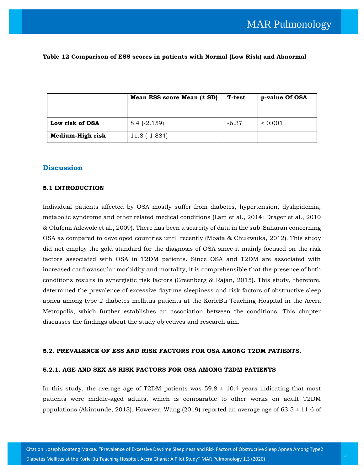|                  | Mean ESS score Mean $(t$ SD) | T-test  | p-value Of OSA |
|------------------|------------------------------|---------|----------------|
| Low risk of OSA  | $8.4$ (-2.159)               | $-6.37$ | ${}< 0.001$    |
| Medium-High risk | $11.8(-1.884)$               |         |                |

#### **Table 12 Comparison of ESS scores in patients with Normal (Low Risk) and Abnormal**

## **Discussion**

#### **5.1 INTRODUCTION**

Individual patients affected by OSA mostly suffer from diabetes, hypertension, dyslipidemia, metabolic syndrome and other related medical conditions (Lam et al., 2014; Drager et al., 2010 & Olufemi Adewole et al., 2009). There has been a scarcity of data in the sub-Saharan concerning OSA as compared to developed countries until recently (Mbata & Chukwuka, 2012). This study did not employ the gold standard for the diagnosis of OSA since it mainly focused on the risk factors associated with OSA in T2DM patients. Since OSA and T2DM are associated with increased cardiovascular morbidity and mortality, it is comprehensible that the presence of both conditions results in synergistic risk factors (Greenberg & Rajan, 2015). This study, therefore, determined the prevalence of excessive daytime sleepiness and risk factors of obstructive sleep apnea among type 2 diabetes mellitus patients at the KorleBu Teaching Hospital in the Accra Metropolis, which further establishes an association between the conditions. This chapter discusses the findings about the study objectives and research aim.

#### **5.2. PREVALENCE OF ESS AND RISK FACTORS FOR OSA AMONG T2DM PATIENTS.**

#### **5.2.1. AGE AND SEX AS RISK FACTORS FOR OSA AMONG T2DM PATIENTS**

In this study, the average age of T2DM patients was  $59.8 \pm 10.4$  years indicating that most patients were middle-aged adults, which is comparable to other works on adult T2DM populations (Akintunde, 2013). However, Wang (2019) reported an average age of  $63.5 \pm 11.6$  of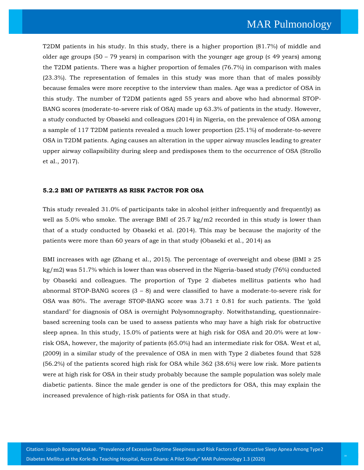T2DM patients in his study. In this study, there is a higher proportion (81.7%) of middle and older age groups (50 – 79 years) in comparison with the younger age group ( $\leq$  49 years) among the T2DM patients. There was a higher proportion of females (76.7%) in comparison with males (23.3%). The representation of females in this study was more than that of males possibly because females were more receptive to the interview than males. Age was a predictor of OSA in this study. The number of T2DM patients aged 55 years and above who had abnormal STOP-BANG scores (moderate-to-severe risk of OSA) made up 63.3% of patients in the study. However, a study conducted by Obaseki and colleagues (2014) in Nigeria, on the prevalence of OSA among a sample of 117 T2DM patients revealed a much lower proportion (25.1%) of moderate-to-severe OSA in T2DM patients. Aging causes an alteration in the upper airway muscles leading to greater upper airway collapsibility during sleep and predisposes them to the occurrence of OSA (Strollo et al., 2017).

## **5.2.2 BMI OF PATIENTS AS RISK FACTOR FOR OSA**

This study revealed 31.0% of participants take in alcohol (either infrequently and frequently) as well as 5.0% who smoke. The average BMI of 25.7 kg/m2 recorded in this study is lower than that of a study conducted by Obaseki et al. (2014). This may be because the majority of the patients were more than 60 years of age in that study (Obaseki et al., 2014) as

BMI increases with age (Zhang et al., 2015). The percentage of overweight and obese (BMI  $\geq 25$ ) kg/m2) was 51.7% which is lower than was observed in the Nigeria-based study (76%) conducted by Obaseki and colleagues. The proportion of Type 2 diabetes mellitus patients who had abnormal STOP-BANG scores  $(3 - 8)$  and were classified to have a moderate-to-severe risk for OSA was 80%. The average STOP-BANG score was  $3.71 \pm 0.81$  for such patients. The 'gold standard' for diagnosis of OSA is overnight Polysomnography. Notwithstanding, questionnairebased screening tools can be used to assess patients who may have a high risk for obstructive sleep apnea. In this study, 15.0% of patients were at high risk for OSA and 20.0% were at lowrisk OSA, however, the majority of patients (65.0%) had an intermediate risk for OSA. West et al, (2009) in a similar study of the prevalence of OSA in men with Type 2 diabetes found that 528 (56.2%) of the patients scored high risk for OSA while 362 (38.6%) were low risk. More patients were at high risk for OSA in their study probably because the sample population was solely male diabetic patients. Since the male gender is one of the predictors for OSA, this may explain the increased prevalence of high-risk patients for OSA in that study.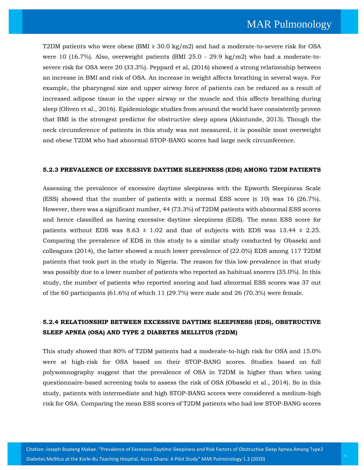T2DM patients who were obese (BMI  $\geq$  30.0 kg/m2) and had a moderate-to-severe risk for OSA were 10 (16.7%). Also, overweight patients (BMI 25.0 - 29.9 kg/m2) who had a moderate-tosevere risk for OSA were 20 (33.3%). Peppard et al, (2016) showed a strong relationship between an increase in BMI and risk of OSA. An increase in weight affects breathing in several ways. For example, the pharyngeal size and upper airway force of patients can be reduced as a result of increased adipose tissue in the upper airway or the muscle and this affects breathing during sleep (Oliven et al., 2016). Epidemiologic studies from around the world have consistently proven that BMI is the strongest predictor for obstructive sleep apnea (Akintunde, 2013). Though the neck circumference of patients in this study was not measured, it is possible most overweight and obese T2DM who had abnormal STOP-BANG scores had large neck circumference.

#### **5.2.3 PREVALENCE OF EXCESSIVE DAYTIME SLEEPINESS (EDS) AMONG T2DM PATIENTS**

Assessing the prevalence of excessive daytime sleepiness with the Epworth Sleepiness Scale (ESS) showed that the number of patients with a normal ESS score  $(5 \t10)$  was 16 (26.7%). However, there was a significant number, 44 (73.3%) of T2DM patients with abnormal ESS scores and hence classified as having excessive daytime sleepiness (EDS). The mean ESS score for patients without EDS was  $8.63 \pm 1.02$  and that of subjects with EDS was  $13.44 \pm 2.25$ . Comparing the prevalence of EDS in this study to a similar study conducted by Obaseki and colleagues (2014), the latter showed a much lower prevalence of (22.0%) EDS among 117 T2DM patients that took part in the study in Nigeria. The reason for this low prevalence in that study was possibly due to a lower number of patients who reported as habitual snorers (35.0%). In this study, the number of patients who reported snoring and had abnormal ESS scores was 37 out of the 60 participants (61.6%) of which 11 (29.7%) were male and 26 (70.3%) were female.

## **5.2.4 RELATIONSHIP BETWEEN EXCESSIVE DAYTIME SLEEPINESS (EDS), OBSTRUCTIVE SLEEP APNEA (OSA) AND TYPE 2 DIABETES MELLITUS (T2DM)**

This study showed that 80% of T2DM patients had a moderate-to-high risk for OSA and 15.0% were at high-risk for OSA based on their STOP-BANG scores. Studies based on full polysomnography suggest that the prevalence of OSA in T2DM is higher than when using questionnaire-based screening tools to assess the risk of OSA (Obaseki et al., 2014). So in this study, patients with intermediate and high STOP-BANG scores were considered a medium-high risk for OSA. Comparing the mean ESS scores of T2DM patients who had low STOP-BANG scores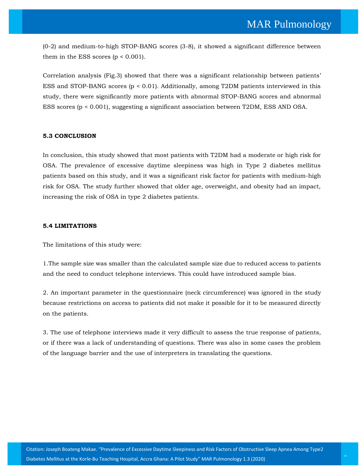(0-2) and medium-to-high STOP-BANG scores (3-8), it showed a significant difference between them in the ESS scores  $(p < 0.001)$ .

Correlation analysis (Fig.3) showed that there was a significant relationship between patients' ESS and STOP-BANG scores (p < 0.01). Additionally, among T2DM patients interviewed in this study, there were significantly more patients with abnormal STOP-BANG scores and abnormal ESS scores (p < 0.001), suggesting a significant association between T2DM, ESS AND OSA.

#### **5.3 CONCLUSION**

In conclusion, this study showed that most patients with T2DM had a moderate or high risk for OSA. The prevalence of excessive daytime sleepiness was high in Type 2 diabetes mellitus patients based on this study, and it was a significant risk factor for patients with medium-high risk for OSA. The study further showed that older age, overweight, and obesity had an impact, increasing the risk of OSA in type 2 diabetes patients.

#### **5.4 LIMITATIONS**

The limitations of this study were:

1.The sample size was smaller than the calculated sample size due to reduced access to patients and the need to conduct telephone interviews. This could have introduced sample bias.

2. An important parameter in the questionnaire (neck circumference) was ignored in the study because restrictions on access to patients did not make it possible for it to be measured directly on the patients.

3. The use of telephone interviews made it very difficult to assess the true response of patients, or if there was a lack of understanding of questions. There was also in some cases the problem of the language barrier and the use of interpreters in translating the questions.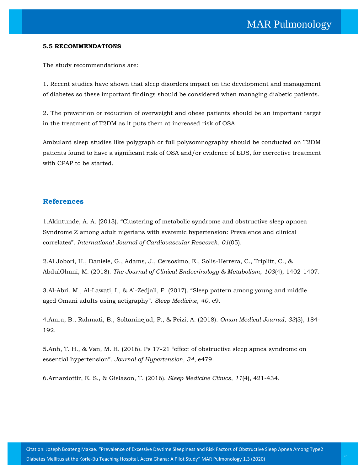#### **5.5 RECOMMENDATIONS**

The study recommendations are:

1. Recent studies have shown that sleep disorders impact on the development and management of diabetes so these important findings should be considered when managing diabetic patients.

2. The prevention or reduction of overweight and obese patients should be an important target in the treatment of T2DM as it puts them at increased risk of OSA.

Ambulant sleep studies like polygraph or full polysomnography should be conducted on T2DM patients found to have a significant risk of OSA and/or evidence of EDS, for corrective treatment with CPAP to be started.

## **References**

1.Akintunde, A. A. (2013). "[Clustering of metabolic syndrome and obstructive sleep apnoea](https://www.google.com/search?q=Clustering+of+metabolic+syndrome+and+obstructive+sleep+apnoea+Syndrome+Z+among+adult+nigerians+with+systemic+hypertension%3A+Prevalence+and+clinical+correlates&oq=Clustering+of+metabolic+syndrome+and+obstructive+sleep+apnoea+Syndrome+Z+among+adult+nigerians+with+systemic+hypertension%3A+Prevalence+and+clinical+correlates&aqs=chrome..69i57.731j0j7&sourceid=chrome&ie=UTF-8)  [Syndrome Z among adult nigerians with systemic hypertension: Prevalence and clinical](https://www.google.com/search?q=Clustering+of+metabolic+syndrome+and+obstructive+sleep+apnoea+Syndrome+Z+among+adult+nigerians+with+systemic+hypertension%3A+Prevalence+and+clinical+correlates&oq=Clustering+of+metabolic+syndrome+and+obstructive+sleep+apnoea+Syndrome+Z+among+adult+nigerians+with+systemic+hypertension%3A+Prevalence+and+clinical+correlates&aqs=chrome..69i57.731j0j7&sourceid=chrome&ie=UTF-8)  correlates". *[International Journal of Cardiovascular Research](https://www.google.com/search?q=Clustering+of+metabolic+syndrome+and+obstructive+sleep+apnoea+Syndrome+Z+among+adult+nigerians+with+systemic+hypertension%3A+Prevalence+and+clinical+correlates&oq=Clustering+of+metabolic+syndrome+and+obstructive+sleep+apnoea+Syndrome+Z+among+adult+nigerians+with+systemic+hypertension%3A+Prevalence+and+clinical+correlates&aqs=chrome..69i57.731j0j7&sourceid=chrome&ie=UTF-8)*, *01*(05).

[2.Al Jobori, H., Daniele, G., Adams, J., Cersosimo, E., Solis-Herrera, C., Triplitt, C., &](https://www.google.com/search?sxsrf=ALeKk021XvGbIlCsCqdiu02Ia6L4iRBRRQ%3A1603356025428&ei=eUWRX5y_GYmA9QPP2KPgBg&q=Al+Jobori%2C+H.%2C+Daniele%2C+G.%2C+Adams%2C+J.%2C+Cersosimo%2C+E.%2C+Solis-Herrera%2C+C.%2C+Triplitt%2C+C.%2C+%26+AbdulGhani%2C+M.+%282018%29.+The+Journal+of+Clinical+Endocrinology+%26+Metabolism%2C+103%284%29%2C+1402-1407.&oq=Al+Jobori%2C+H.%2C+Daniele%2C+G.%2C+Adams%2C+J.%2C+Cersosimo%2C+E.%2C+Solis-Herrera%2C+C.%2C+Triplitt%2C+C.%2C+%26+AbdulGhani%2C+M.+%282018%29.+The+Journal+of+Clinical+Endocrinology+%26+Metabolism%2C+103%284%29%2C+1402-1407.&gs_lcp=CgZwc3ktYWIQAzIHCCMQ6gIQJzIHCCMQ6gIQJzIHCCMQ6gIQJzIHCCMQ6gIQJzIHCCMQ6gIQJzIHCCMQ6gIQJzIHCCMQ6gIQJzIHCCMQ6gIQJzIHCCMQ6gIQJzIHCCMQ6gIQJ1CTrQJYk60CYJq0AmgBcAB4AIABAIgBAJIBAJgBAKABAaABAqoBB2d3cy13aXqwAQrAAQE&sclient=psy-ab&ved=0ahUKEwjc39_S5sfsAhUJQH0KHU_sCGwQ4dUDCA0&uact=5)  AbdulGhani, M. (2018). *[The Journal of Clinical Endocrinology & Metabolism](https://www.google.com/search?sxsrf=ALeKk021XvGbIlCsCqdiu02Ia6L4iRBRRQ%3A1603356025428&ei=eUWRX5y_GYmA9QPP2KPgBg&q=Al+Jobori%2C+H.%2C+Daniele%2C+G.%2C+Adams%2C+J.%2C+Cersosimo%2C+E.%2C+Solis-Herrera%2C+C.%2C+Triplitt%2C+C.%2C+%26+AbdulGhani%2C+M.+%282018%29.+The+Journal+of+Clinical+Endocrinology+%26+Metabolism%2C+103%284%29%2C+1402-1407.&oq=Al+Jobori%2C+H.%2C+Daniele%2C+G.%2C+Adams%2C+J.%2C+Cersosimo%2C+E.%2C+Solis-Herrera%2C+C.%2C+Triplitt%2C+C.%2C+%26+AbdulGhani%2C+M.+%282018%29.+The+Journal+of+Clinical+Endocrinology+%26+Metabolism%2C+103%284%29%2C+1402-1407.&gs_lcp=CgZwc3ktYWIQAzIHCCMQ6gIQJzIHCCMQ6gIQJzIHCCMQ6gIQJzIHCCMQ6gIQJzIHCCMQ6gIQJzIHCCMQ6gIQJzIHCCMQ6gIQJzIHCCMQ6gIQJzIHCCMQ6gIQJzIHCCMQ6gIQJ1CTrQJYk60CYJq0AmgBcAB4AIABAIgBAJIBAJgBAKABAaABAqoBB2d3cy13aXqwAQrAAQE&sclient=psy-ab&ved=0ahUKEwjc39_S5sfsAhUJQH0KHU_sCGwQ4dUDCA0&uact=5)*, *103*(4), 1402-1407.

3[.Al-Abri, M., Al-Lawati, I., & Al-Zedjali, F. \(2017\).](https://www.google.com/search?sxsrf=ALeKk03QxRNk0XifrOTN7KJE05k1AXay7w%3A1603356066652&ei=okWRX56lJ4G7rQH25YbIDQ&q=Sleep+pattern+among+young+and+middle+aged+Omani+adults+using+actigraphy&oq=Sleep+pattern+among+young+and+middle+aged+Omani+adults+using+actigraphy&gs_lcp=CgZwc3ktYWIQAzoHCCMQ6gIQJ1Cm2wFYptsBYPbdAWgBcAB4AIABmAGIAZgBkgEDMC4xmAEAoAEBoAECqgEHZ3dzLXdperABCsABAQ&sclient=psy-ab&ved=0ahUKEwie_rPm5sfsAhWBXSsKHfayAdkQ4dUDCA0&uact=5) "Sleep pattern among young and middle aged Omani [adults using actigraphy](https://www.google.com/search?sxsrf=ALeKk03QxRNk0XifrOTN7KJE05k1AXay7w%3A1603356066652&ei=okWRX56lJ4G7rQH25YbIDQ&q=Sleep+pattern+among+young+and+middle+aged+Omani+adults+using+actigraphy&oq=Sleep+pattern+among+young+and+middle+aged+Omani+adults+using+actigraphy&gs_lcp=CgZwc3ktYWIQAzoHCCMQ6gIQJ1Cm2wFYptsBYPbdAWgBcAB4AIABmAGIAZgBkgEDMC4xmAEAoAEBoAECqgEHZ3dzLXdperABCsABAQ&sclient=psy-ab&ved=0ahUKEwie_rPm5sfsAhWBXSsKHfayAdkQ4dUDCA0&uact=5)". *Sleep Medicine*, *40*, e9.

4.Amra, B., Rahmati, B., [Soltaninejad, F., & Feizi, A. \(2018\).](https://www.google.com/search?sxsrf=ALeKk03qWb8EbFhtlVcAa5xrxU9Ccub6PQ%3A1603356096450&ei=wEWRX-fvGtm9rQGH0oWgCQ&q=Amra%2C+B.%2C+Rahmati%2C+B.%2C+Soltaninejad%2C+F.%2C+%26+Feizi%2C+A.+%282018%29.+Oman+Medical+Journal%2C+33%283%29%2C+184-192.&oq=Amra%2C+B.%2C+Rahmati%2C+B.%2C+Soltaninejad%2C+F.%2C+%26+Feizi%2C+A.+%282018%29.+Oman+Medical+Journal%2C+33%283%29%2C+184-192.&gs_lcp=CgZwc3ktYWIQAzoHCCMQ6gIQJ1D_7ANY_-wDYKjyA2gBcAF4AIABygGIAcoBkgEDMi0xmAEAoAEBoAECqgEHZ3dzLXdperABCsABAQ&sclient=psy-ab&ved=0ahUKEwjnz8705sfsAhXZXisKHQdpAZQQ4dUDCA0&uact=5) *Oman Medical Journal*, *33*(3), 184- [192.](https://www.google.com/search?sxsrf=ALeKk03qWb8EbFhtlVcAa5xrxU9Ccub6PQ%3A1603356096450&ei=wEWRX-fvGtm9rQGH0oWgCQ&q=Amra%2C+B.%2C+Rahmati%2C+B.%2C+Soltaninejad%2C+F.%2C+%26+Feizi%2C+A.+%282018%29.+Oman+Medical+Journal%2C+33%283%29%2C+184-192.&oq=Amra%2C+B.%2C+Rahmati%2C+B.%2C+Soltaninejad%2C+F.%2C+%26+Feizi%2C+A.+%282018%29.+Oman+Medical+Journal%2C+33%283%29%2C+184-192.&gs_lcp=CgZwc3ktYWIQAzoHCCMQ6gIQJ1D_7ANY_-wDYKjyA2gBcAF4AIABygGIAcoBkgEDMi0xmAEAoAEBoAECqgEHZ3dzLXdperABCsABAQ&sclient=psy-ab&ved=0ahUKEwjnz8705sfsAhXZXisKHQdpAZQQ4dUDCA0&uact=5)

5.Anh, T. H., & Van, M. H. (2016). Ps 17-21 "[effect of obstructive sleep apnea syndrome on](https://www.google.com/search?sxsrf=ALeKk00CCrdE_E0TtdZM8tN2o1GkJw9wPQ%3A1603356162018&ei=AkaRX4xKhf_1A4v4sVg&q=effect+of+obstructive+sleep+apnea+syndrome+on+essential+hypertension&oq=effect+of+obstructive+sleep+apnea+syndrome+on+essential+hypertension&gs_lcp=CgZwc3ktYWIQAzoHCCMQ6gIQJ1CRuARYkbgEYKm9BGgBcAB4AIABhwGIAYcBkgEDMC4xmAEAoAEBoAECqgEHZ3dzLXdperABCsABAQ&sclient=psy-ab&ved=0ahUKEwiM0_CT58fsAhWFf30KHQt8DAsQ4dUDCA0&uact=5)  essential hypertension". *[Journal of Hypertension](https://www.google.com/search?sxsrf=ALeKk00CCrdE_E0TtdZM8tN2o1GkJw9wPQ%3A1603356162018&ei=AkaRX4xKhf_1A4v4sVg&q=effect+of+obstructive+sleep+apnea+syndrome+on+essential+hypertension&oq=effect+of+obstructive+sleep+apnea+syndrome+on+essential+hypertension&gs_lcp=CgZwc3ktYWIQAzoHCCMQ6gIQJ1CRuARYkbgEYKm9BGgBcAB4AIABhwGIAYcBkgEDMC4xmAEAoAEBoAECqgEHZ3dzLXdperABCsABAQ&sclient=psy-ab&ved=0ahUKEwiM0_CT58fsAhWFf30KHQt8DAsQ4dUDCA0&uact=5)*, *34*, e479.

6[.Arnardottir, E. S., & Gislason, T. \(2016\).](https://www.google.com/search?sxsrf=ALeKk00t1QV12KLpB95feG_x-sLyKClJIA%3A1603356236585&ei=TEaRX8-RI83l9QOHi6PwDg&q=Arnardottir%2C+E.+S.%2C+%26+Gislason%2C+T.+%282016%29.+Sleep+Medicine+Clinics%2C+11%284%29%2C+421-434&oq=Arnardottir%2C+E.+S.%2C+%26+Gislason%2C+T.+%282016%29.+Sleep+Medicine+Clinics%2C+11%284%29%2C+421-434&gs_lcp=CgZwc3ktYWIQAzoHCCMQ6gIQJ1DBqgFYwaoBYO2wAWgBcAF4AIABgAGIAYABkgEDMC4xmAEAoAEBoAECqgEHZ3dzLXdperABCsABAQ&sclient=psy-ab&ved=0ahUKEwjP57e358fsAhXNcn0KHYfFCO4Q4dUDCA0&uact=5) *Sleep Medicine Clinics*, *11*(4), 421-434.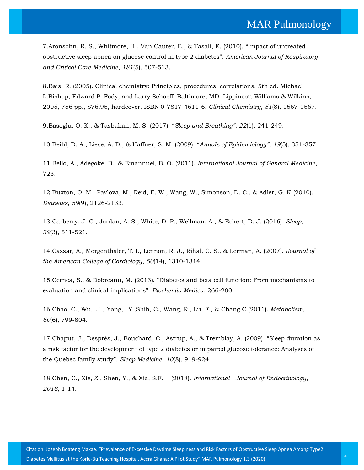7[.Aronsohn, R. S., Whitmore, H., Van Cauter, E., & Tasali, E. \(2010\).](https://www.google.com/search?sxsrf=ALeKk00-wK0yDF3WkKuC-VEOsRLVcel68Q%3A1603356260969&ei=ZEaRX57dOsjorQGjipigBw&q=Impact+of+untreated+obstructive+sleep+apnea+on+glucose+control+in+type+2+diabetes&oq=Impact+of+untreated+obstructive+sleep+apnea+on+glucose+control+in+type+2+diabetes&gs_lcp=CgZwc3ktYWIQAzIHCAAQyQMQHjoHCCMQ6gIQJ1DA2gFYwNoBYKTdAWgBcAB4AIABeIgBeJIBAzAuMZgBAKABAaABAqoBB2d3cy13aXqwAQrAAQE&sclient=psy-ab&ved=0ahUKEwien4jD58fsAhVIdCsKHSMFBnQQ4dUDCA0&uact=5) "Impact of untreated [obstructive sleep apnea on glucose control in type 2 diabetes](https://www.google.com/search?sxsrf=ALeKk00-wK0yDF3WkKuC-VEOsRLVcel68Q%3A1603356260969&ei=ZEaRX57dOsjorQGjipigBw&q=Impact+of+untreated+obstructive+sleep+apnea+on+glucose+control+in+type+2+diabetes&oq=Impact+of+untreated+obstructive+sleep+apnea+on+glucose+control+in+type+2+diabetes&gs_lcp=CgZwc3ktYWIQAzIHCAAQyQMQHjoHCCMQ6gIQJ1DA2gFYwNoBYKTdAWgBcAB4AIABeIgBeJIBAzAuMZgBAKABAaABAqoBB2d3cy13aXqwAQrAAQE&sclient=psy-ab&ved=0ahUKEwien4jD58fsAhVIdCsKHSMFBnQQ4dUDCA0&uact=5)". *American Journal of Respiratory [and Critical Care](https://www.google.com/search?sxsrf=ALeKk00-wK0yDF3WkKuC-VEOsRLVcel68Q%3A1603356260969&ei=ZEaRX57dOsjorQGjipigBw&q=Impact+of+untreated+obstructive+sleep+apnea+on+glucose+control+in+type+2+diabetes&oq=Impact+of+untreated+obstructive+sleep+apnea+on+glucose+control+in+type+2+diabetes&gs_lcp=CgZwc3ktYWIQAzIHCAAQyQMQHjoHCCMQ6gIQJ1DA2gFYwNoBYKTdAWgBcAB4AIABeIgBeJIBAzAuMZgBAKABAaABAqoBB2d3cy13aXqwAQrAAQE&sclient=psy-ab&ved=0ahUKEwien4jD58fsAhVIdCsKHSMFBnQQ4dUDCA0&uact=5) Medicine*, *181*(5), 507-513.

8[.Bais, R. \(2005\). Clinical chemistry: Principles, procedures, correlations, 5th ed. Michael](https://www.google.com/search?sxsrf=ALeKk035fpxQ_rsweH3b-6ohmv5toaAzRA%3A1603356290972&ei=gkaRX5XsOsvyrAGSvLqgDw&q=Bais%2C+R.+%282005%29.+Clinical+chemistry%3A+Principles%2C+procedures%2C+correlations%2C+5th+ed.+Michael+L.Bishop%2C+Edward+P.+Fody%2C+and+Larry+Schoeff.+Baltimore%2C+MD%3A+Lippincott+Williams+%26+Wilkins%2C+2005%2C+756+pp.%2C+%2476.95%2C+hardcover.+ISBN+0-7817-4611-6.+Clinical+Chemistry%2C+51%288%29%2C+1567-1567.&oq=Bais%2C+R.+%282005%29.+Clinical+chemistry%3A+Principles%2C+procedures%2C+correlations%2C+5th+ed.+Michael+L.Bishop%2C+Edward+P.+Fody%2C+and+Larry+Schoeff.+Baltimore%2C+MD%3A+Lippincott+Williams+%26+Wilkins%2C+2005%2C+756+pp.%2C+%2476.95%2C+hardcover.+ISBN+0-7817-4611-6.+Clinical+Chemistry%2C+51%288%29%2C+1567-1567.&gs_lcp=CgZwc3ktYWIQAzIHCCMQ6gIQJzIHCCMQ6gIQJzIHCCMQ6gIQJzIHCCMQ6gIQJzIHCCMQ6gIQJzIHCCMQ6gIQJzIHCCMQ6gIQJzIHCCMQ6gIQJzIHCCMQ6gIQJzIHCCMQ6gIQJ1DegQtY3oELYMmIC2gBcAB4AIABAIgBAJIBAJgBAKABAaABAqoBB2d3cy13aXqwAQrAAQE&sclient=psy-ab&ved=0ahUKEwiVta_R58fsAhVLOSsKHRKeDvQQ4dUDCA0&uact=5)  [L.Bishop, Edward P. Fody, and Larry Schoeff. Baltimore, MD: Lippincott Williams & Wilkins,](https://www.google.com/search?sxsrf=ALeKk035fpxQ_rsweH3b-6ohmv5toaAzRA%3A1603356290972&ei=gkaRX5XsOsvyrAGSvLqgDw&q=Bais%2C+R.+%282005%29.+Clinical+chemistry%3A+Principles%2C+procedures%2C+correlations%2C+5th+ed.+Michael+L.Bishop%2C+Edward+P.+Fody%2C+and+Larry+Schoeff.+Baltimore%2C+MD%3A+Lippincott+Williams+%26+Wilkins%2C+2005%2C+756+pp.%2C+%2476.95%2C+hardcover.+ISBN+0-7817-4611-6.+Clinical+Chemistry%2C+51%288%29%2C+1567-1567.&oq=Bais%2C+R.+%282005%29.+Clinical+chemistry%3A+Principles%2C+procedures%2C+correlations%2C+5th+ed.+Michael+L.Bishop%2C+Edward+P.+Fody%2C+and+Larry+Schoeff.+Baltimore%2C+MD%3A+Lippincott+Williams+%26+Wilkins%2C+2005%2C+756+pp.%2C+%2476.95%2C+hardcover.+ISBN+0-7817-4611-6.+Clinical+Chemistry%2C+51%288%29%2C+1567-1567.&gs_lcp=CgZwc3ktYWIQAzIHCCMQ6gIQJzIHCCMQ6gIQJzIHCCMQ6gIQJzIHCCMQ6gIQJzIHCCMQ6gIQJzIHCCMQ6gIQJzIHCCMQ6gIQJzIHCCMQ6gIQJzIHCCMQ6gIQJzIHCCMQ6gIQJ1DegQtY3oELYMmIC2gBcAB4AIABAIgBAJIBAJgBAKABAaABAqoBB2d3cy13aXqwAQrAAQE&sclient=psy-ab&ved=0ahUKEwiVta_R58fsAhVLOSsKHRKeDvQQ4dUDCA0&uact=5)  [2005, 756 pp., \\$76.95, hardcover. ISBN 0-7817-4611-6.](https://www.google.com/search?sxsrf=ALeKk035fpxQ_rsweH3b-6ohmv5toaAzRA%3A1603356290972&ei=gkaRX5XsOsvyrAGSvLqgDw&q=Bais%2C+R.+%282005%29.+Clinical+chemistry%3A+Principles%2C+procedures%2C+correlations%2C+5th+ed.+Michael+L.Bishop%2C+Edward+P.+Fody%2C+and+Larry+Schoeff.+Baltimore%2C+MD%3A+Lippincott+Williams+%26+Wilkins%2C+2005%2C+756+pp.%2C+%2476.95%2C+hardcover.+ISBN+0-7817-4611-6.+Clinical+Chemistry%2C+51%288%29%2C+1567-1567.&oq=Bais%2C+R.+%282005%29.+Clinical+chemistry%3A+Principles%2C+procedures%2C+correlations%2C+5th+ed.+Michael+L.Bishop%2C+Edward+P.+Fody%2C+and+Larry+Schoeff.+Baltimore%2C+MD%3A+Lippincott+Williams+%26+Wilkins%2C+2005%2C+756+pp.%2C+%2476.95%2C+hardcover.+ISBN+0-7817-4611-6.+Clinical+Chemistry%2C+51%288%29%2C+1567-1567.&gs_lcp=CgZwc3ktYWIQAzIHCCMQ6gIQJzIHCCMQ6gIQJzIHCCMQ6gIQJzIHCCMQ6gIQJzIHCCMQ6gIQJzIHCCMQ6gIQJzIHCCMQ6gIQJzIHCCMQ6gIQJzIHCCMQ6gIQJzIHCCMQ6gIQJ1DegQtY3oELYMmIC2gBcAB4AIABAIgBAJIBAJgBAKABAaABAqoBB2d3cy13aXqwAQrAAQE&sclient=psy-ab&ved=0ahUKEwiVta_R58fsAhVLOSsKHRKeDvQQ4dUDCA0&uact=5) *Clinical Chemistry*, *51*(8), 1567-1567.

9[.Basoglu, O. K., & Tasbakan, M. S. \(2017\).](https://www.google.com/search?sxsrf=ALeKk01Z93tKWjEWvWRy-LjxxHSQrnuuIg%3A1603356473450&ei=OUeRX4SOG4n_9QOg14CgCw&q=Sleep+and+Breathing&oq=Sleep+and+Breathing&gs_lcp=CgZwc3ktYWIQAzIFCAAQyQMyAggAMgIIADIICC4QxwEQrwEyCAguEMcBEK8BMgIIADIICC4QxwEQrwEyAggAMgIIADICCAA6BwgjEOoCECdQg5kCWIOZAmDtngJoAXAAeACAAZUBiAGVAZIBAzAuMZgBAKABAaABAqoBB2d3cy13aXqwAQrAAQE&sclient=psy-ab&ved=0ahUKEwjEjrGo6MfsAhWJf30KHaArALQQ4dUDCA0&uact=5) "*Sleep and Breathing"*, *22*(1), 241-249.

10[.Beihl, D. A., Liese, A. D., & Haffner, S. M. \(2009\).](https://www.google.com/search?sxsrf=ALeKk035m6sAew0dt1PZIDU-ujiFiK1fwA%3A1603356512591&ei=YEeRX6DNI87yrAHR1qvYCg&q=Annals+of+Epidemiology&oq=Annals+of+Epidemiology&gs_lcp=CgZwc3ktYWIQAzIFCAAQyQMyAggAMgIIADICCAAyAggAMgIIADICCAAyAggAMgIIADICCAA6BwgjEOoCECdQr5oCWK-aAmDMoAJoAXABeACAAXuIAXuSAQMwLjGYAQCgAQGgAQKqAQdnd3Mtd2l6sAEKwAEB&sclient=psy-ab&ved=0ahUKEwig_YW76MfsAhVOOSsKHVHrCqsQ4dUDCA0&uact=5) "*Annals of Epidemiology"*, *19*(5), 351-357.

11.Bello, A., Adegoke, B., & Emannuel, B. O. (2011). *[International Journal of General Medicine](https://www.google.com/search?sxsrf=ALeKk00IMGw1gfs1N6fSYgKjJzPyZ0qt0Q%3A1603356550600&ei=hkeRX4qPJIXgrQHT8IqYAw&q=Bello%2C+A.%2C+Adegoke%2C+B.%2C+%26+Emannuel%2C+B.+O.+%282011%29.+International+Journal+of+General+Medicine%2C+723.&oq=Bello%2C+A.%2C+Adegoke%2C+B.%2C+%26+Emannuel%2C+B.+O.+%282011%29.+International+Journal+of+General+Medicine%2C+723.&gs_lcp=CgZwc3ktYWIQAzoHCCMQ6gIQJ1DEvQtYxL0LYMjAC2gBcAF4AIABnQGIAZ0BkgEDMC4xmAEAoAEBoAECqgEHZ3dzLXdperABCsABAQ&sclient=psy-ab&ved=0ahUKEwiK6pXN6MfsAhUFcCsKHVO4AjMQ4dUDCA0&uact=5)*, [723.](https://www.google.com/search?sxsrf=ALeKk00IMGw1gfs1N6fSYgKjJzPyZ0qt0Q%3A1603356550600&ei=hkeRX4qPJIXgrQHT8IqYAw&q=Bello%2C+A.%2C+Adegoke%2C+B.%2C+%26+Emannuel%2C+B.+O.+%282011%29.+International+Journal+of+General+Medicine%2C+723.&oq=Bello%2C+A.%2C+Adegoke%2C+B.%2C+%26+Emannuel%2C+B.+O.+%282011%29.+International+Journal+of+General+Medicine%2C+723.&gs_lcp=CgZwc3ktYWIQAzoHCCMQ6gIQJ1DEvQtYxL0LYMjAC2gBcAF4AIABnQGIAZ0BkgEDMC4xmAEAoAEBoAECqgEHZ3dzLXdperABCsABAQ&sclient=psy-ab&ved=0ahUKEwiK6pXN6MfsAhUFcCsKHVO4AjMQ4dUDCA0&uact=5)

12[.Buxton, O. M., Pavlova, M., Reid, E. W., Wang, W., Simonson, D. C., & Adler, G. K.\(2010\).](https://www.google.com/search?sxsrf=ALeKk02Qq4A2DkVGkt-fBtleNy8EIGqCxw%3A1603356740807&ei=REiRX9fkMNLc9QPNspW4BQ&q=Buxton%2C+O.+M.%2C+Pavlova%2C+M.%2C+Reid%2C+E.+W.%2C+Wang%2C+W.%2C+Simonson%2C+D.+C.%2C+%26+Adler%2C+G.+K.%282010%29.+Diabetes%2C+59%289%29%2C+2126-2133&oq=Buxton%2C+O.+M.%2C+Pavlova%2C+M.%2C+Reid%2C+E.+W.%2C+Wang%2C+W.%2C+Simonson%2C+D.+C.%2C+%26+Adler%2C+G.+K.%282010%29.+Diabetes%2C+59%289%29%2C+2126-2133&gs_lcp=CgZwc3ktYWIQAzIHCCMQ6gIQJzIHCCMQ6gIQJzIHCCMQ6gIQJzIHCCMQ6gIQJzIHCCMQ6gIQJzIHCCMQ6gIQJzIHCCMQ6gIQJzIHCCMQ6gIQJzIHCCMQ6gIQJzIHCCMQ6gIQJ1Dn_gJY5_4CYP-AA2gBcAF4AIABAIgBAJIBAJgBAKABAaABAqoBB2d3cy13aXqwAQrAAQE&sclient=psy-ab&ved=0ahUKEwjXlu-n6cfsAhVSbn0KHU1ZBVcQ4dUDCA0&uact=5)  *Diabetes*, *59*[\(9\), 2126-2133.](https://www.google.com/search?sxsrf=ALeKk02Qq4A2DkVGkt-fBtleNy8EIGqCxw%3A1603356740807&ei=REiRX9fkMNLc9QPNspW4BQ&q=Buxton%2C+O.+M.%2C+Pavlova%2C+M.%2C+Reid%2C+E.+W.%2C+Wang%2C+W.%2C+Simonson%2C+D.+C.%2C+%26+Adler%2C+G.+K.%282010%29.+Diabetes%2C+59%289%29%2C+2126-2133&oq=Buxton%2C+O.+M.%2C+Pavlova%2C+M.%2C+Reid%2C+E.+W.%2C+Wang%2C+W.%2C+Simonson%2C+D.+C.%2C+%26+Adler%2C+G.+K.%282010%29.+Diabetes%2C+59%289%29%2C+2126-2133&gs_lcp=CgZwc3ktYWIQAzIHCCMQ6gIQJzIHCCMQ6gIQJzIHCCMQ6gIQJzIHCCMQ6gIQJzIHCCMQ6gIQJzIHCCMQ6gIQJzIHCCMQ6gIQJzIHCCMQ6gIQJzIHCCMQ6gIQJzIHCCMQ6gIQJ1Dn_gJY5_4CYP-AA2gBcAF4AIABAIgBAJIBAJgBAKABAaABAqoBB2d3cy13aXqwAQrAAQE&sclient=psy-ab&ved=0ahUKEwjXlu-n6cfsAhVSbn0KHU1ZBVcQ4dUDCA0&uact=5)

13[.Carberry, J. C., Jordan, A. S., White, D. P., Wellman, A.,](https://www.google.com/search?sxsrf=ALeKk02hJMfg4NTK9hxBzlbh21bA7M72BQ%3A1603356791999&ei=d0iRX9S0PMGw9QOk0JDwDA&q=Carberry%2C+J.+C.%2C+Jordan%2C+A.+S.%2C+White%2C+D.+P.%2C+Wellman%2C+A.%2C+%26+Eckert%2C+D.+J.+%282016%29.+Sleep%2C+39%283%29%2C+511-521&oq=Carberry%2C+J.+C.%2C+Jordan%2C+A.+S.%2C+White%2C+D.+P.%2C+Wellman%2C+A.%2C+%26+Eckert%2C+D.+J.+%282016%29.+Sleep%2C+39%283%29%2C+511-521&gs_lcp=CgZwc3ktYWIQAzIHCCMQ6gIQJzIHCCMQ6gIQJzIHCCMQ6gIQJzIHCCMQ6gIQJzIHCCMQ6gIQJzIHCCMQ6gIQJzIHCCMQ6gIQJzIHCCMQ6gIQJzIHCCMQ6gIQJzIHCCMQ6gIQJ1CohQRYqIUEYPaIBGgBcAB4AIABAIgBAJIBAJgBAKABAaABAqoBB2d3cy13aXqwAQrAAQE&sclient=psy-ab&ved=0ahUKEwiUzKPA6cfsAhVBWH0KHSQoBM4Q4dUDCA0&uact=5) & Eckert, D. J. (2016). *Sleep*, *39*[\(3\), 511-521.](https://www.google.com/search?sxsrf=ALeKk02hJMfg4NTK9hxBzlbh21bA7M72BQ%3A1603356791999&ei=d0iRX9S0PMGw9QOk0JDwDA&q=Carberry%2C+J.+C.%2C+Jordan%2C+A.+S.%2C+White%2C+D.+P.%2C+Wellman%2C+A.%2C+%26+Eckert%2C+D.+J.+%282016%29.+Sleep%2C+39%283%29%2C+511-521&oq=Carberry%2C+J.+C.%2C+Jordan%2C+A.+S.%2C+White%2C+D.+P.%2C+Wellman%2C+A.%2C+%26+Eckert%2C+D.+J.+%282016%29.+Sleep%2C+39%283%29%2C+511-521&gs_lcp=CgZwc3ktYWIQAzIHCCMQ6gIQJzIHCCMQ6gIQJzIHCCMQ6gIQJzIHCCMQ6gIQJzIHCCMQ6gIQJzIHCCMQ6gIQJzIHCCMQ6gIQJzIHCCMQ6gIQJzIHCCMQ6gIQJzIHCCMQ6gIQJ1CohQRYqIUEYPaIBGgBcAB4AIABAIgBAJIBAJgBAKABAaABAqoBB2d3cy13aXqwAQrAAQE&sclient=psy-ab&ved=0ahUKEwiUzKPA6cfsAhVBWH0KHSQoBM4Q4dUDCA0&uact=5)

14[.Cassar, A., Morgenthaler, T. I., Lennon, R. J., Rihal, C. S., & Lerman, A. \(2007\).](https://www.google.com/search?sxsrf=ALeKk00t-VDRDuQz_MsgHkLkZH-XCTYyFg%3A1603356859781&ei=u0iRX-uZL4f59QP49oKgDQ&q=Cassar%2C+A.%2C+Morgenthaler%2C+T.+I.%2C+Lennon%2C+R.+J.%2C+Rihal%2C+C.+S.%2C+%26+Lerman%2C+A.+%282007%29.+Journal+of+the+American+College+of+Cardiology%2C+50%2814%29%2C+1310-1314&oq=Cassar%2C+A.%2C+Morgenthaler%2C+T.+I.%2C+Lennon%2C+R.+J.%2C+Rihal%2C+C.+S.%2C+%26+Lerman%2C+A.+%282007%29.+Journal+of+the+American+College+of+Cardiology%2C+50%2814%29%2C+1310-1314&gs_lcp=CgZwc3ktYWIQAzIHCCMQ6gIQJzIHCCMQ6gIQJzIHCCMQ6gIQJzIHCCMQ6gIQJzIHCCMQ6gIQJzIHCCMQ6gIQJzIHCCMQ6gIQJzIHCCMQ6gIQJzIHCCMQ6gIQJzIHCCMQ6gIQJ1DwjgFY8I4BYMOSAWgBcAB4AIABAIgBAJIBAJgBAKABAaABAqoBB2d3cy13aXqwAQrAAQE&sclient=psy-ab&ved=0ahUKEwir48zg6cfsAhWHfH0KHXi7ANQQ4dUDCA0&uact=5) *[Journal of](https://www.google.com/search?sxsrf=ALeKk00t-VDRDuQz_MsgHkLkZH-XCTYyFg%3A1603356859781&ei=u0iRX-uZL4f59QP49oKgDQ&q=Cassar%2C+A.%2C+Morgenthaler%2C+T.+I.%2C+Lennon%2C+R.+J.%2C+Rihal%2C+C.+S.%2C+%26+Lerman%2C+A.+%282007%29.+Journal+of+the+American+College+of+Cardiology%2C+50%2814%29%2C+1310-1314&oq=Cassar%2C+A.%2C+Morgenthaler%2C+T.+I.%2C+Lennon%2C+R.+J.%2C+Rihal%2C+C.+S.%2C+%26+Lerman%2C+A.+%282007%29.+Journal+of+the+American+College+of+Cardiology%2C+50%2814%29%2C+1310-1314&gs_lcp=CgZwc3ktYWIQAzIHCCMQ6gIQJzIHCCMQ6gIQJzIHCCMQ6gIQJzIHCCMQ6gIQJzIHCCMQ6gIQJzIHCCMQ6gIQJzIHCCMQ6gIQJzIHCCMQ6gIQJzIHCCMQ6gIQJzIHCCMQ6gIQJ1DwjgFY8I4BYMOSAWgBcAB4AIABAIgBAJIBAJgBAKABAaABAqoBB2d3cy13aXqwAQrAAQE&sclient=psy-ab&ved=0ahUKEwir48zg6cfsAhWHfH0KHXi7ANQQ4dUDCA0&uact=5)  [the American College of Cardiology](https://www.google.com/search?sxsrf=ALeKk00t-VDRDuQz_MsgHkLkZH-XCTYyFg%3A1603356859781&ei=u0iRX-uZL4f59QP49oKgDQ&q=Cassar%2C+A.%2C+Morgenthaler%2C+T.+I.%2C+Lennon%2C+R.+J.%2C+Rihal%2C+C.+S.%2C+%26+Lerman%2C+A.+%282007%29.+Journal+of+the+American+College+of+Cardiology%2C+50%2814%29%2C+1310-1314&oq=Cassar%2C+A.%2C+Morgenthaler%2C+T.+I.%2C+Lennon%2C+R.+J.%2C+Rihal%2C+C.+S.%2C+%26+Lerman%2C+A.+%282007%29.+Journal+of+the+American+College+of+Cardiology%2C+50%2814%29%2C+1310-1314&gs_lcp=CgZwc3ktYWIQAzIHCCMQ6gIQJzIHCCMQ6gIQJzIHCCMQ6gIQJzIHCCMQ6gIQJzIHCCMQ6gIQJzIHCCMQ6gIQJzIHCCMQ6gIQJzIHCCMQ6gIQJzIHCCMQ6gIQJzIHCCMQ6gIQJ1DwjgFY8I4BYMOSAWgBcAB4AIABAIgBAJIBAJgBAKABAaABAqoBB2d3cy13aXqwAQrAAQE&sclient=psy-ab&ved=0ahUKEwir48zg6cfsAhWHfH0KHXi7ANQQ4dUDCA0&uact=5)*, *50*(14), 1310-1314.

15.Cernea, S., & Dobreanu, M. (2013). "[Diabetes and beta cell function: From mechanisms to](https://www.google.com/search?sxsrf=ALeKk01XxUYF2qeDQQ5MsnFmEZ0D3sbHGA%3A1603356879589&ei=z0iRX8qKI5n69QP8_5ugDQ&q=Diabetes+and+beta+cell+function%3A+From+mechanisms+to+evaluation+and+clinical+implications&oq=Diabetes+and+beta+cell+function%3A+From+mechanisms+to+evaluation+and+clinical+implications&gs_lcp=CgZwc3ktYWIQAzIHCAAQyQMQHjoHCCMQ6gIQJ1CJrwJYia8CYPmxAmgBcAB4AIABc4gBc5IBAzAuMZgBAKABAaABAqoBB2d3cy13aXqwAQrAAQE&sclient=psy-ab&ved=0ahUKEwiKroXq6cfsAhUZfX0KHfz_BtQQ4dUDCA0&uact=5)  [evaluation and clinical implications](https://www.google.com/search?sxsrf=ALeKk01XxUYF2qeDQQ5MsnFmEZ0D3sbHGA%3A1603356879589&ei=z0iRX8qKI5n69QP8_5ugDQ&q=Diabetes+and+beta+cell+function%3A+From+mechanisms+to+evaluation+and+clinical+implications&oq=Diabetes+and+beta+cell+function%3A+From+mechanisms+to+evaluation+and+clinical+implications&gs_lcp=CgZwc3ktYWIQAzIHCAAQyQMQHjoHCCMQ6gIQJ1CJrwJYia8CYPmxAmgBcAB4AIABc4gBc5IBAzAuMZgBAKABAaABAqoBB2d3cy13aXqwAQrAAQE&sclient=psy-ab&ved=0ahUKEwiKroXq6cfsAhUZfX0KHfz_BtQQ4dUDCA0&uact=5)". *Biochemia Medica*, 266-280.

16.Chao, C., Wu, J., Yang, Y.,Shih, C., Wang, R., Lu, F., & [Chang,C.\(2011\).](https://www.google.com/search?sxsrf=ALeKk03_567hWs0Sbz0faxZBty9yr2qeSA%3A1603356920622&ei=-EiRX8OpJZPc9QOOtJDAAw&q=Chao%2C+C.%2C+Wu%2C++J.%2C%09Yang%2C%09Y.%2CShih%2C+C.%2C+Wang%2C+R.%2C+Lu%2C+F.%2C+%26+Chang%2CC.%282011%29.+Metabolism%2C+60%286%29%2C+799-804&oq=Chao%2C+C.%2C+Wu%2C++J.%2C%09Yang%2C%09Y.%2CShih%2C+C.%2C+Wang%2C+R.%2C+Lu%2C+F.%2C+%26+Chang%2CC.%282011%29.+Metabolism%2C+60%286%29%2C+799-804&gs_lcp=CgZwc3ktYWIQAzoHCCMQ6gIQJ1DirgFY4q4BYLGxAWgBcAF4AIABdIgBdJIBAzAuMZgBAKABAaABAqoBB2d3cy13aXqwAQrAAQE&sclient=psy-ab&ved=0ahUKEwjDhc796cfsAhUTbn0KHQ4aBDgQ4dUDCA0&uact=5) *Metabolism*, *60*[\(6\), 799-804.](https://www.google.com/search?sxsrf=ALeKk03_567hWs0Sbz0faxZBty9yr2qeSA%3A1603356920622&ei=-EiRX8OpJZPc9QOOtJDAAw&q=Chao%2C+C.%2C+Wu%2C++J.%2C%09Yang%2C%09Y.%2CShih%2C+C.%2C+Wang%2C+R.%2C+Lu%2C+F.%2C+%26+Chang%2CC.%282011%29.+Metabolism%2C+60%286%29%2C+799-804&oq=Chao%2C+C.%2C+Wu%2C++J.%2C%09Yang%2C%09Y.%2CShih%2C+C.%2C+Wang%2C+R.%2C+Lu%2C+F.%2C+%26+Chang%2CC.%282011%29.+Metabolism%2C+60%286%29%2C+799-804&gs_lcp=CgZwc3ktYWIQAzoHCCMQ6gIQJ1DirgFY4q4BYLGxAWgBcAF4AIABdIgBdJIBAzAuMZgBAKABAaABAqoBB2d3cy13aXqwAQrAAQE&sclient=psy-ab&ved=0ahUKEwjDhc796cfsAhUTbn0KHQ4aBDgQ4dUDCA0&uact=5)

17[.Chaput, J., Després, J., Bouchard, C., Astrup, A., & Tremblay, A. \(2009\).](https://www.google.com/search?sxsrf=ALeKk01bIRmiIfLY96sEOnJpINxNMJY3Tg%3A1603356945518&ei=EUmRX-uBH8H8rQHjp4uwCw&q=Sleep+duration+as+a+risk+factor+for+the+development+of+type+2+diabetes+or+impaired+glucose+tolerance%3A+Analyses+of+the+Quebec+family+study&oq=Sleep+duration+as+a+risk+factor+for+the+development+of+type+2+diabetes+or+impaired+glucose+tolerance%3A+Analyses+of+the+Quebec+family+study&gs_lcp=CgZwc3ktYWIQAzIHCCMQ6gIQJzIHCCMQ6gIQJzIHCCMQ6gIQJzIHCCMQ6gIQJzIHCCMQ6gIQJzIHCCMQ6gIQJzIHCCMQ6gIQJzIHCCMQ6gIQJzIHCCMQ6gIQJzIHCCMQ6gIQJ1D2ugJY9roCYPy8AmgBcAB4AIABAIgBAJIBAJgBAKABAaABAqoBB2d3cy13aXqwAQrAAQE&sclient=psy-ab&ved=0ahUKEwirzr2J6sfsAhVBfisKHePTArYQ4dUDCA0&uact=5) "Sleep duration as [a risk factor for the development of type 2 diabetes or impaired glucose tolerance: Analyses of](https://www.google.com/search?sxsrf=ALeKk01bIRmiIfLY96sEOnJpINxNMJY3Tg%3A1603356945518&ei=EUmRX-uBH8H8rQHjp4uwCw&q=Sleep+duration+as+a+risk+factor+for+the+development+of+type+2+diabetes+or+impaired+glucose+tolerance%3A+Analyses+of+the+Quebec+family+study&oq=Sleep+duration+as+a+risk+factor+for+the+development+of+type+2+diabetes+or+impaired+glucose+tolerance%3A+Analyses+of+the+Quebec+family+study&gs_lcp=CgZwc3ktYWIQAzIHCCMQ6gIQJzIHCCMQ6gIQJzIHCCMQ6gIQJzIHCCMQ6gIQJzIHCCMQ6gIQJzIHCCMQ6gIQJzIHCCMQ6gIQJzIHCCMQ6gIQJzIHCCMQ6gIQJzIHCCMQ6gIQJ1D2ugJY9roCYPy8AmgBcAB4AIABAIgBAJIBAJgBAKABAaABAqoBB2d3cy13aXqwAQrAAQE&sclient=psy-ab&ved=0ahUKEwirzr2J6sfsAhVBfisKHePTArYQ4dUDCA0&uact=5)  [the Quebec family study](https://www.google.com/search?sxsrf=ALeKk01bIRmiIfLY96sEOnJpINxNMJY3Tg%3A1603356945518&ei=EUmRX-uBH8H8rQHjp4uwCw&q=Sleep+duration+as+a+risk+factor+for+the+development+of+type+2+diabetes+or+impaired+glucose+tolerance%3A+Analyses+of+the+Quebec+family+study&oq=Sleep+duration+as+a+risk+factor+for+the+development+of+type+2+diabetes+or+impaired+glucose+tolerance%3A+Analyses+of+the+Quebec+family+study&gs_lcp=CgZwc3ktYWIQAzIHCCMQ6gIQJzIHCCMQ6gIQJzIHCCMQ6gIQJzIHCCMQ6gIQJzIHCCMQ6gIQJzIHCCMQ6gIQJzIHCCMQ6gIQJzIHCCMQ6gIQJzIHCCMQ6gIQJzIHCCMQ6gIQJ1D2ugJY9roCYPy8AmgBcAB4AIABAIgBAJIBAJgBAKABAaABAqoBB2d3cy13aXqwAQrAAQE&sclient=psy-ab&ved=0ahUKEwirzr2J6sfsAhVBfisKHePTArYQ4dUDCA0&uact=5)". *Sleep Medicine*, *10*(8), 919-924.

18.Chen, C., Xie, Z., Shen, Y., & Xia, S.F. (2018). *International Journal of [Endocrinology](https://www.google.com/search?sxsrf=ALeKk03kCQOPvPYAGa-GRm7-rJGi9i-tJg%3A1603356987424&ei=O0mRX8O0GeuortoPvfS_qAU&q=Chen%2C+C.%2C+Xie%2C+Z.%2C+Shen%2C+Y.%2C+%26+Xia%2C+S.F.%09%282018%29.+International%09Journal+of+Endocrinology%2C+2018%2C+1-14&oq=Chen%2C+C.%2C+Xie%2C+Z.%2C+Shen%2C+Y.%2C+%26+Xia%2C+S.F.%09%282018%29.+International%09Journal+of+Endocrinology%2C+2018%2C+1-14&gs_lcp=CgZwc3ktYWIQAzoHCCMQ6gIQJ1Cz1QJYs9UCYIjZAmgBcAB4AIABugGIAboBkgEDMC4xmAEAoAEBoAECqgEHZ3dzLXdperABCsABAQ&sclient=psy-ab&ved=0ahUKEwiDvrud6sfsAhVrlEsFHT36D1UQ4dUDCA0&uact=5)*, *[2018](https://www.google.com/search?sxsrf=ALeKk03kCQOPvPYAGa-GRm7-rJGi9i-tJg%3A1603356987424&ei=O0mRX8O0GeuortoPvfS_qAU&q=Chen%2C+C.%2C+Xie%2C+Z.%2C+Shen%2C+Y.%2C+%26+Xia%2C+S.F.%09%282018%29.+International%09Journal+of+Endocrinology%2C+2018%2C+1-14&oq=Chen%2C+C.%2C+Xie%2C+Z.%2C+Shen%2C+Y.%2C+%26+Xia%2C+S.F.%09%282018%29.+International%09Journal+of+Endocrinology%2C+2018%2C+1-14&gs_lcp=CgZwc3ktYWIQAzoHCCMQ6gIQJ1Cz1QJYs9UCYIjZAmgBcAB4AIABugGIAboBkgEDMC4xmAEAoAEBoAECqgEHZ3dzLXdperABCsABAQ&sclient=psy-ab&ved=0ahUKEwiDvrud6sfsAhVrlEsFHT36D1UQ4dUDCA0&uact=5)*[, 1-14.](https://www.google.com/search?sxsrf=ALeKk03kCQOPvPYAGa-GRm7-rJGi9i-tJg%3A1603356987424&ei=O0mRX8O0GeuortoPvfS_qAU&q=Chen%2C+C.%2C+Xie%2C+Z.%2C+Shen%2C+Y.%2C+%26+Xia%2C+S.F.%09%282018%29.+International%09Journal+of+Endocrinology%2C+2018%2C+1-14&oq=Chen%2C+C.%2C+Xie%2C+Z.%2C+Shen%2C+Y.%2C+%26+Xia%2C+S.F.%09%282018%29.+International%09Journal+of+Endocrinology%2C+2018%2C+1-14&gs_lcp=CgZwc3ktYWIQAzoHCCMQ6gIQJ1Cz1QJYs9UCYIjZAmgBcAB4AIABugGIAboBkgEDMC4xmAEAoAEBoAECqgEHZ3dzLXdperABCsABAQ&sclient=psy-ab&ved=0ahUKEwiDvrud6sfsAhVrlEsFHT36D1UQ4dUDCA0&uact=5)